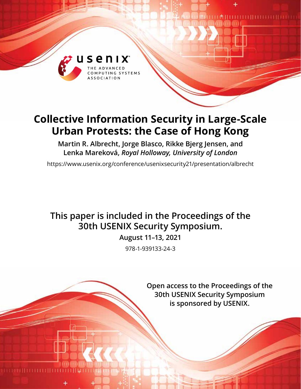

# **Collective Information Security in Large-Scale Urban Protests: the Case of Hong Kong**

**Martin R. Albrecht, Jorge Blasco, Rikke Bjerg Jensen, and Lenka Mareková,** *Royal Holloway, University of London*

https://www.usenix.org/conference/usenixsecurity21/presentation/albrecht

## **This paper is included in the Proceedings of the 30th USENIX Security Symposium.**

**August 11–13, 2021**

978-1-939133-24-3

**Open access to the Proceedings of the 30th USENIX Security Symposium is sponsored by USENIX.**

 ${\color{blue} 1} {\color{red} 1} {\color{red} 1} {\color{red} 1} {\color{red} 1} {\color{red} 1} {\color{red} 1} {\color{red} 1} {\color{red} 1} {\color{red} 1} {\color{red} 1} {\color{red} 1} {\color{red} 1} {\color{red} 1} {\color{red} 1} {\color{red} 1} {\color{red} 1} {\color{red} 1} {\color{red} 1} {\color{red} 1} {\color{red} 1} {\color{red} 1} {\color{red} 1} {\color{red} 1} {\color{red} 1} {\color{red} 1} {\color{red} 1} {\color{red$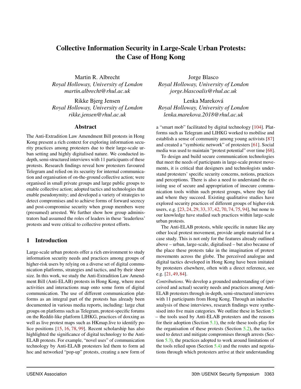## Collective Information Security in Large-Scale Urban Protests: the Case of Hong Kong

Martin R. Albrecht *Royal Holloway, University of London martin.albrecht@rhul.ac.uk*

Rikke Bjerg Jensen *Royal Holloway, University of London rikke.jensen@rhul.ac.uk*

## Abstract

The Anti-Extradition Law Amendment Bill protests in Hong Kong present a rich context for exploring information security practices among protesters due to their large-scale urban setting and highly digitalised nature. We conducted indepth, semi-structured interviews with 11 participants of these protests. Research findings reveal how protesters favoured Telegram and relied on its security for internal communication and organisation of on-the-ground collective action; were organised in small private groups and large public groups to enable collective action; adopted tactics and technologies that enable pseudonymity; and developed a variety of strategies to detect compromises and to achieve forms of forward secrecy and post-compromise security when group members were (presumed) arrested. We further show how group administrators had assumed the roles of leaders in these 'leaderless' protests and were critical to collective protest efforts.

## 1 Introduction

Large-scale urban protests offer a rich environment to study information security needs and practices among groups of higher-risk users by relying on a diverse set of digital communication platforms, strategies and tactics, and by their sheer size. In this work, we study the Anti-Extradition Law Amendment Bill (Anti-ELAB) protests in Hong Kong, where most activities and interactions map onto some form of digital communication. The use of different communication platforms as an integral part of the protests has already been documented in various media reports, including: large chat groups on platforms such as Telegram, protest-specific forums on the Reddit-like platform LIHKG, practices of doxxing as well as live protest maps such as HKmap.live to identify police positions [\[15,](#page-14-0) [16,](#page-14-1) [78,](#page-17-0) [99\]](#page-18-0). Recent scholarship has also highlighted the significance of digital technology to the Anti-ELAB protests. For example, "novel uses" of communication technology by Anti-ELAB protesters led them to form ad hoc and networked "pop-up" protests, creating a new form of

Jorge Blasco *Royal Holloway, University of London jorge.blascoalis@rhul.ac.uk*

Lenka Mareková *Royal Holloway, University of London lenka.marekova.2018@rhul.ac.uk*

a "smart mob" facilitated by digital technology [\[104\]](#page-18-1). Platforms such as Telegram and LIHKG worked to mobilise and establish a sense of community among young activists [\[87\]](#page-17-1) and created a "symbiotic network" of protesters [\[61\]](#page-16-0). Social media was used to maintain "protest potential" over time [\[68\]](#page-16-1).

To design and build secure communication technologies that meet the needs of participants in large-scale protest movements, it is critical that designers and technologists understand protesters' specific security concerns, notions, practices and perceptions. There is also a need to understand the existing use of secure and appropriation of insecure communication tools within such protest groups, where they fail and where they succeed. Existing qualitative studies have explored security practices of different groups of higher-risk users, e.g. [\[23,](#page-15-0) [24,](#page-15-1) [29,](#page-15-2) [33,](#page-15-3) [37,](#page-15-4) [42,](#page-15-5) [70,](#page-16-2) [74,](#page-17-2) [75,](#page-17-3) [94\]](#page-17-4), but none to our knowledge have studied such practices within large-scale urban protests.

The Anti-ELAB protests, while specific in nature like any other local protest movement, provide ample material for a case study. This is not only for the features already outlined above – urban, large-scale, digitalised – but also because of the place these protests take in the imagination of protest movements across the globe. The perceived analogue and digital tactics developed in Hong Kong have been imitated by protesters elsewhere, often with a direct reference, see e.g. [\[21,](#page-15-6) [49,](#page-16-3) [84\]](#page-17-5).

*Contributions.* We develop a grounded understanding of (perceived and actual) security needs and practices among Anti-ELAB protesters through in-depth, semi-structured interviews with 11 participants from Hong Kong. Through an inductive analysis of these interviews, research findings were synthesised into five main categories. We outline these in Section [5](#page-5-0) – the tools used by Anti-ELAB protesters and the reasons for their adoption (Section [5.1\)](#page-5-1), the role these tools play for the organisation of these protests (Section  $5.2$ ), the tactics used to detect and mitigate compromises through arrests (Section [5.3\)](#page-8-0), the practices adopted to work around limitations of the tools relied upon (Section [5.4\)](#page-9-0) and the routes and negotiations through which protesters arrive at their understanding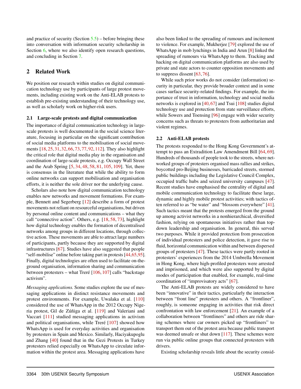and practice of security (Section  $5.5$ ) – before bringing these into conversation with information security scholarship in Section [6,](#page-10-0) where we also identify open research questions, and concluding in Section [7.](#page-13-0)

## 2 Related Work

We position our research within studies on digital communication technology use by participants of large protest movements, including existing work on the Anti-ELAB protests to establish pre-existing understanding of their technology use, as well as scholarly work on higher-risk users.

#### <span id="page-2-0"></span>2.1 Large-scale protests and digital communication

The importance of digital communication technology in largescale protests is well documented in the social science literature, focusing in particular on the significant contribution of social media platforms to the mobilisation of social movements [\[18,](#page-14-2) [25,](#page-15-7) [31,](#page-15-8) [32,](#page-15-9) [66,](#page-16-4) [73,](#page-16-5) [77,](#page-17-6) [92,](#page-17-7) [112\]](#page-18-2). They also highlight the critical role that digital media play in the organisation and coordination of large-scale protests, e.g. Occupy Wall Street and the Arab Spring [\[5,](#page-14-3) [34,](#page-15-10) [48,](#page-16-6) [58,](#page-16-7) [81,](#page-17-8) [105,](#page-18-3) [109\]](#page-18-4). Yet, there is consensus in the literature that while the ability to form online networks can support mobilisation and organisation efforts, it is neither the sole driver nor the underlying cause.

Scholars also note how digital communication technology enables new networks and movement formations. For example, Bennett and Segerberg [\[12\]](#page-14-4) describe a form of protest movements not reliant on resourceful organisations, but driven by personal online content and communications – what they call "connective action". Others, e.g. [\[18,](#page-14-2) [58,](#page-16-7) [73\]](#page-16-5), highlight how digital technology enables the formation of decentralised networks among groups in different locations, through collective action. These movements are able to attract large numbers of participants, partly because they are supported by digital infrastructures [\[67\]](#page-16-8). Studies have also suggested that people "self-mobilise" online before taking part in protests [\[44](#page-15-11)[,65,](#page-16-9)[95\]](#page-17-9). Finally, digital technologies are often used to facilitate on-theground organisation, information sharing and communication between protesters – what Treré [\[106,](#page-18-5) [107\]](#page-18-6) calls "backstage activism".

*Messaging applications.* Some studies explore the use of messaging applications in distinct resistance movements and protest environments. For example, Uwalaka et al. [\[110\]](#page-18-7) considered the use of WhatsApp in the 2012 Occupy Nigeria protest, Gil de Zúñiga et al. [\[119\]](#page-18-8) and Valeriani and Vaccari [\[111\]](#page-18-9) studied messaging applications in activism and political organisations, while Treré [\[107\]](#page-18-6) showed how WhatsApp is used for everyday activities and organisation by protesters in Spain and Mexico. Similarly, Haciyakupoglu and Zhang [\[40\]](#page-15-12) found that in the Gezi Protests in Turkey protesters relied especially on WhatsApp to circulate information within the protest area. Messaging applications have

also been linked to the spreading of rumours and incitement to violence. For example, Mukherjee [\[79\]](#page-17-10) explored the use of WhatsApp in mob lynchings in India and Arun [\[8\]](#page-14-5) linked the spreading of rumours via WhatsApp to them. Tracking and hacking on digital communication platforms are also used by private and state actors to counter opposition movements and to suppress dissent [\[63,](#page-16-10) [76\]](#page-17-11).

While such prior works do not consider (information) security in particular, they provide broader context and in some cases surface security-related findings. For example, the importance of trust in information, technology and social media networks is explored in [\[40,](#page-15-12)[67\]](#page-16-8) and Tsui [\[108\]](#page-18-10) studies digital technology use and protection from state surveillance efforts, while Sowers and Toensing [\[96\]](#page-17-12) engage with wider security concerns such as threats to protesters from authoritarian and violent regimes.

#### 2.2 Anti-ELAB protests

The protests responded to the Hong Kong Government's attempt to pass an Extradition Law Amendment Bill [\[64,](#page-16-11) [69\]](#page-16-12). Hundreds of thousands of people took to the streets, where networked groups of protesters organised mass rallies and strikes, boycotted pro-Beijing businesses, barricaded streets, stormed public buildings including the Legislative Council Complex, occupied traffic hubs and seized university campuses [\[47\]](#page-16-13). Recent studies have emphasised the centrality of digital and mobile communication technology to facilitate these large, dynamic and highly mobile protest activities; with tactics often referred to as "be water" and "blossom everywhere" [\[41\]](#page-15-13). Such tactics meant that the protests emerged from the ground up among activist networks in a nonhierarchical, diversified fashion, relying on spontaneous initiatives rather than topdown leadership and organisation. In general, this served two purposes. While it provided protection from prosecution of individual protesters and police detection, it gave rise to fluid, horizontal communication within and between dispersed groups of protesters [\[47\]](#page-16-13). These tactics were partly rooted in protesters' experiences from the 2014 Umbrella Movement in Hong Kong, where high-profiled protesters were arrested and imprisoned, and which were also supported by digital modes of participation that enabled, for example, real-time coordination of "improvisatory acts" [\[67\]](#page-16-8).

The Anti-ELAB protests are widely considered to have been "innovative" in their tactics, particularly the interaction between "front line" protesters and others. A "frontliner", roughly, is someone engaging in activities that risk direct confrontation with law enforcement [\[21\]](#page-15-6). An example of a collaboration between "frontliners" and others are ride sharing schemes where car owners picked up "frontliners" to transport them out of the protest area because public transport was deemed unsafe or shut down [\[117\]](#page-18-11). These schemes were run via public online groups that connected protesters with drivers.

Existing scholarship reveals little about the security consid-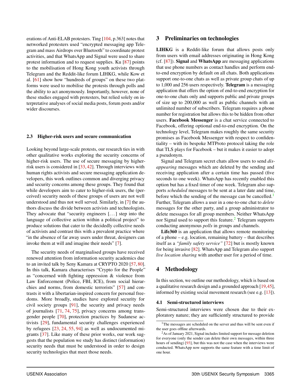erations of Anti-ELAB protesters. Ting [\[104,](#page-18-1) p.363] notes that networked protesters used "encrypted messaging app Telegram and mass Airdrops over Bluetooth" to coordinate protest activities, and that WhatsApp and Signal were used to share protest information and to request supplies. Ku [\[87\]](#page-17-1) points to the mobilisation of Hong Kong youth activists through Telegram and the Reddit-like forum LIHKG, while Kow et al. [\[61\]](#page-16-0) show how "hundreds of groups" on these two platforms were used to mobilise the protests through polls and the ability to act anonymously. Importantly, however, none of these studies engaged with protesters, but relied solely on interpretative analyses of social media posts, forum posts and/or wider discourses.

#### <span id="page-3-3"></span>2.3 Higher-risk users and secure communication

Looking beyond large-scale protests, our research ties in with other qualitative works exploring the security concerns of higher-risk users. The use of secure messaging by higherrisk users is considered in [\[33,](#page-15-3) [42\]](#page-15-5). Through interviews with human rights activists and secure messaging application developers, this work outlines common and diverging privacy and security concerns among these groups. They found that while developers aim to cater to higher-risk users, the (perceived) security needs of these groups of users are not well understood and thus not well served. Similarly, in [\[7\]](#page-14-6) the authors discuss the divide between activists and technologists. They advocate that "security engineers [. . . ] step into the language of collective action within a political project" to produce solutions that cater to the decidedly collective needs of activists and contrast this with a prevalent practice where "in the absence of far away users under threat, designers can invoke them at will and imagine their needs" [\[7\]](#page-14-6).

The security needs of marginalised groups have received renewed attention from information security academics due to an invited talk by Seny Kamara at CRYPTO 2020 [\[57,](#page-16-14) [80\]](#page-17-13). In this talk, Kamara characterises "Crypto for the People" as "concerned with fighting oppression & violence from Law Enforcement (Police, FBI, ICE), from social hierarchies and norms, from domestic terrorists" [\[57\]](#page-16-14) and contrasts it with a libertarian-inspired concern for personal freedoms. More broadly, studies have explored security for civil society groups [\[91\]](#page-17-14), the security and privacy needs of journalists [\[71,](#page-16-15) [74,](#page-17-2) [75\]](#page-17-3), privacy concerns among transgender people [\[70\]](#page-16-2), protection practices by Sudanese activists [\[29\]](#page-15-2), fundamental security challenges experienced by refugees [\[23,](#page-15-0) [24,](#page-15-1) [55,](#page-16-16) [94\]](#page-17-4) as well as undocumented migrants [\[37\]](#page-15-4). Like many of these prior works, our work suggests that the population we study has distinct (information) security needs that must be understood in order to design security technologies that meet those needs.

#### 3 Preliminaries on technologies

LIHKG is a Reddit-like forum that allows posts only from users with email addresses originating in Hong Kong (cf. [\[87\]](#page-17-1)). Signal and WhatsApp are messaging applications that use phone numbers as contact handles and perform endto-end encryption by default on all chats. Both applications support one-to-one chats as well as private group chats of up to 1,000 and 256 users respectively. Telegram is a messaging application that offers the option of end-to-end encryption for one-to-one chats only and supports public and private groups of size up to 200,000 as well as public channels with an unlimited number of subscribers. Telegram requires a phone number for registration but allows this to be hidden from other users. Facebook Messenger is a chat service connected to Facebook, offering optional end-to-end encryption. On the technology level, Telegram makes roughly the same security promises as Facebook Messenger with respect to confidentiality – with its bespoke MTProto protocol taking the role that TLS plays for Facebook – but it makes it easier to adopt a pseudonym.

Signal and Telegram secret chats allow users to send *disappearing* messages which are deleted by the sending and receiving application after a certain time has passed (five seconds to one week). WhatsApp has recently enabled this option but has a fixed timer of one week. Telegram also supports *scheduled* messages to be sent at a later date and time, before which the sending of the message can be cancelled.<sup>[1](#page-3-0)</sup> Further, Telegram allows a user in a one-to-one chat to *delete* messages for the other party, and a group administrator to delete messages for all group members. Neither WhatsApp nor Signal used to support this feature.<sup>[2](#page-3-1)</sup> Telegram supports conducting anonymous *polls* in groups and channels.

Life360 is an application that allows remote monitoring of a phone – e.g. location, remaining battery – that describes itself as a *"family safety service"* [\[72\]](#page-16-17) but is mostly known for being invasive [\[82\]](#page-17-15). WhatsApp and Telegram also support *live location sharing* with another user for a period of time.

## 4 Methodology

In this section, we outline our methodology, which is based on a qualitative research design and a grounded approach [\[19,](#page-14-7)[45\]](#page-15-14), informed by existing social movement research (see e.g. [\[13\]](#page-14-8)).

#### <span id="page-3-2"></span>4.1 Semi-structured interviews

Semi-structured interviews were chosen due to their exploratory nature; they are sufficiently structured to provide

<span id="page-3-0"></span><sup>&</sup>lt;sup>1</sup>The messages are scheduled on the server and thus will be sent even if the user goes offline afterwards.

<span id="page-3-1"></span><sup>&</sup>lt;sup>2</sup>As of January 2021, Signal includes limited support for message deletion for everyone (only the sender can delete their own messages, within three hours of sending) [\[93\]](#page-17-16), but this was not the case when the interviews were conducted. WhatsApp now supports the same feature with a time limit of one hour.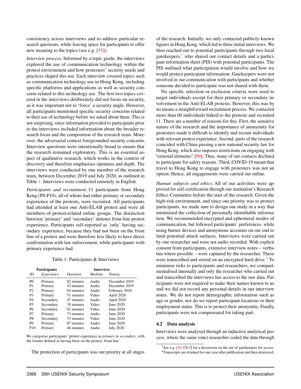consistency across interviews and to address particular research questions, while leaving space for participants to offer new meaning to the topics (see e.g. [\[35\]](#page-15-15)).

*Interview process.* Informed by a topic guide, the interviews explored the use of communication technology within the protest environment and how protesters' security needs and practices shaped this use. Each interview covered topics such as communication technology use in Hong Kong, including specific platforms and applications as well as security concerns related to this technology use. The first two topics covered in the interviews deliberately did not focus on security, as it was important not to 'force' a security angle. However, all participants mentioned specific security concerns related to their use of technology before we asked about them. This is not surprising, since information provided to participants prior to the interviews included information about the broader research focus and the composition of the research team. Moreover, the adversarial context foregrounded security concerns. Interview questions were intentionally broad to ensure that the research remained exploratory. This is an essential aspect of qualitative research, which works in the context of discovery and therefore emphasises openness and depth. The interviews were conducted by one member of the research team, between December 2019 and July 2020, as outlined in Table [1.](#page-4-0) Interviews were conducted remotely in English.

*Participants and recruitment.* 11 participants from Hong Kong (P0-P10), all of whom had either primary or secondary experience of the protests, were recruited. All participants had attended at least one Anti-ELAB protest and were all members of protest-related online groups. The distinction between 'primary' and 'secondary' denotes front-line protest experience. Participants self-reported as 'only' having secondary experience, because they had not been on the front line of a protest and were therefore less likely to have direct confrontation with law enforcement, while participants with primary experience had.

#### Table 1: Participants & Interviews

<span id="page-4-0"></span>

| <b>Participants</b> |            | <b>Interview</b> |        |                  |
|---------------------|------------|------------------|--------|------------------|
| ID                  | Experience | Duration         | Medium | Timing           |
| P <sub>0</sub>      | Primary    | 82 minutes       | Audio  | December 2019    |
| P1                  | Primary    | 43 minutes       | Audio  | December 2019    |
| P <sub>2</sub>      | Primary    | 64 minutes       | Audio  | February 2020    |
| P <sub>3</sub>      | Primary    | 51 minutes       | Video  | April 2020       |
| P <sub>4</sub>      | Secondary  | 47 minutes       | Audio  | April 2020       |
| <b>P5</b>           | Secondary  | 39 minutes       | Video  | June 2020        |
| <b>P6</b>           | Secondary  | 62 minutes       | Video  | June 2020        |
| P7                  | Primary    | 73 minutes       | Audio  | June 2020        |
| P8                  | Secondary  | 53 minutes       | Video  | June 2020        |
| P9                  | Primary    | 87 minutes       | Audio  | June 2020        |
| P <sub>10</sub>     | Primary    | 46 minutes       | Audio  | <b>July 2020</b> |

We categorise participants' protest experience as *primary* or *secondary*, with the former defined as having been on the protest 'front line'.

The protection of participants was our priority at all stages

of the research. Initially, we only contacted publicly-known figures in Hong Kong, which led to three initial interviews. We then reached out to potential participants through two local gatekeepers, $3$  who shared our contact details and a participant information sheet (PIS) with potential participants. The PIS outlined what participation would involve and how we would protect participant information. Gatekeepers were not involved in our communication with participants and whether someone decided to participate was not shared with them.

No specific selection or exclusion criteria were used to target individuals except for their primary or secondary involvement in the Anti-ELAB protests. However, this was by no means a straightforward recruitment process. We contacted more than 60 individuals linked to the protests and recruited 11. There are a number of reasons for this. First, the sensitive nature of the research and the importance of anonymity for protesters made it difficult to identify and recruit individuals with relevant protest experience. Second, parts of the research coincided with China passing a new national security law for Hong Kong, which also imposes restrictions on engaging with "external elements" [\[90\]](#page-17-17). Thus, many of our contacts declined to participate for safety reasons. Third, COVID-19 meant that travel to Hong Kong to engage with protesters was not an option. Hence, all engagements were carried out online.

*Human subjects and ethics.* All of our activities were approved for self-certification through our institution's Research Ethics Committee before the start of the research. Given the high-risk environment, and since our priority was to protect participants, we made sure to design our study in a way that minimised the collection of personally identifiable information. We recommended encrypted and ephemeral modes of communication, but followed participants' preferences, while using burner devices and anonymous accounts on our end to limit potential attack surfaces. Interviews were carried out by one researcher and were not audio recorded. With explicit consent from participants, extensive interview notes – verbatim where possible – were captured by the researcher. These were transcribed and stored on an encrypted hard drive.<sup>[4](#page-4-2)</sup> To minimise risks to participants and researchers, we compartmentalised internally and only the researcher who carried out and transcribed the interviews has access to the raw data. Participants were not required to make their names known to us and we did not record any personal details in our interview notes. We do not report demographic information such as age or gender, nor do we report participant locations or their employment status. This is to protect their anonymity. Finally, participants were not compensated for taking part.

#### 4.2 Data analysis

Interviews were analysed through an inductive analytical process, where the same (one) researcher coded the data through

<span id="page-4-2"></span><span id="page-4-1"></span> $3$ See e.g. [\[43,](#page-15-16) Ch.3] for a discussion on the use of gatekeepers for access. <sup>4</sup>Transcripts are retained for one year after publication and then destroyed.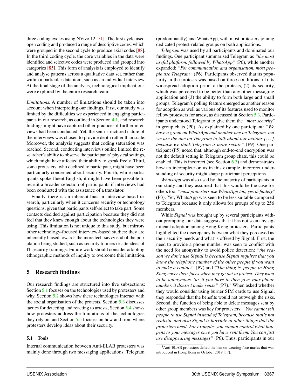three coding cycles using NVivo 12 [\[51\]](#page-16-18). The first cycle used open coding and produced a range of descriptive codes, which were grouped in the second cycle to produce axial codes [\[88\]](#page-17-18). In the third coding cycle, the core variables in the data were identified and selective codes were produced and grouped into categories [\[85\]](#page-17-19). This form of analysis is employed to identify and analyse patterns across a qualitative data set, rather than within a particular data item, such as an individual interview. At the final stage of the analysis, technological implications were explored by the entire research team.

*Limitations.* A number of limitations should be taken into account when interpreting our findings. First, our study was limited by the difficulties we experienced in engaging participants in our research, as outlined in Section [4.1,](#page-3-2) and research findings might have captured other practices if further interviews had been conducted. Yet, the semi-structured nature of the interviews was chosen to provide depth rather than scale. Moreover, the analysis suggests that coding saturation was reached. Second, conducting interviews online limited the researcher's ability to observe the participants' physical settings, which might have affected their ability to speak freely. Third, some protesters, who declined to participate, might have been particularly concerned about security. Fourth, while participants spoke fluent English, it might have been possible to recruit a broader selection of participants if interviews had been conducted with the assistance of a translator.

Finally, there is an inherent bias in interview-based research, particularly when it concerns security or technology questions, given that participants self-select to take part. Some contacts decided against participation because they did not feel that they knew enough about the technologies they were using. This limitation is not unique to this study, but mirrors other technology-focused interview-based studies; they are inherently biased towards the more tech-savvy end of the population being studied, such as security trainers or attendees of IT security trainings. Future work should consider adopting ethnographic methods of inquiry to overcome this limitation.

## <span id="page-5-0"></span>5 Research findings

Our research findings are structured into five subsections: Section [5.1](#page-5-1) focuses on the technologies used by protesters and why, Section [5.2](#page-6-0) shows how these technologies interact with the social organisation of the protests, Section [5.3](#page-8-0) discusses tactics for detecting and reacting to arrests, Section [5.4](#page-9-0) shows how protesters address the limitations of the technologies they rely on, and Section [5.5](#page-9-1) focuses on how and from where protesters develop ideas about their security.

#### <span id="page-5-1"></span>5.1 Tools

Internal communication between Anti-ELAB protesters was mainly done through two messaging applications: Telegram

(predominantly) and WhatsApp, with most protesters joining dedicated protest-related groups on both applications.

*Telegram* was used by all participants and dominated our findings. One participant summarised Telegram as *"the most useful platform, followed by WhatsApp"* (P0), while another expanded: *"For communication and organisation, most people use Telegram"* (P6). Participants observed that its popularity in the protests was based on three conditions: (1) its widespread adoption prior to the protests, (2) its security, which was perceived to be better than any other messaging application and (3) the ability to form both large and small groups. Telegram's polling feature emerged as another reason for adoption as well as various of its features used to monitor fellow protesters for arrest, as discussed in Section [5.3.](#page-8-0) Participants understood Telegram to give them the *"most security"* in group chats (P0). As explained by one participant: *"We have a group on WhatsApp and another one on Telegram, but we use the one on Telegram to talk about our actions [. . . ], because we think Telegram is more secure"* (P9). One participant (P5) noted that, although end-to-end encryption was not the default setting in Telegram group chats, this could be enabled. This is incorrect (see Section  $6.3$ ) and demonstrates how an incomplete or, as in this example, incorrect understanding of security might shape participant perceptions.

*WhatsApp* was also used by the majority of participants in our study and they assumed that this would be the case for others too: *"most protesters use WhatsApp too, yes definitely"* (P3). Yet, WhatsApp was seen to be less suitable compared to Telegram because it only allows for groups of up to 256 members.

While *Signal* was brought up by several participants without prompting, our data suggests that it has not seen any significant adoption among Hong Kong protesters. Participants highlighted the discrepancy between what they perceived as their security needs and what is offered by Signal. First, the need to provide a phone number was seen to conflict with the need for anonymity to avoid police detection: *"the reason we don't use Signal is because Signal requires that you know the telephone number of the other people if you want to make a contact"* (P7) and *"The thing is, people in Hong Kong cover their faces when they go out to protest. They want to be anonymous. So, if you have to then give your phone number, it doesn't make sense*" (P7).<sup>[5](#page-5-2)</sup> When asked whether they would consider using burner SIM cards to use Signal, they responded that the benefits would not outweigh the risks. Second, the function of being able to delete messages sent by other group members was key for protesters: *"You cannot tell people to use Signal instead of Telegram, because that's not realistic and also Signal is horrible at other things that the protesters need. For example, you cannot control what happens to your messages once you have sent them. You can just use disappearing messages"* (P6). Thus, participants in our

<span id="page-5-2"></span><sup>5</sup>Anti-ELAB protesters defied the ban on wearing face masks that was introduced in Hong Kong in October 2019 [\[17\]](#page-14-9).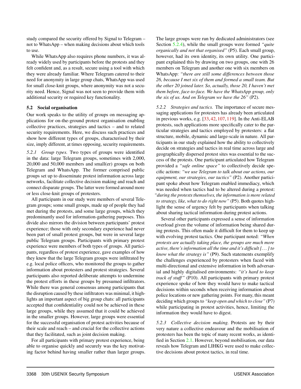study compared the security offered by Signal to Telegram – not to WhatsApp – when making decisions about which tools to use.

While WhatsApp also requires phone numbers, it was already widely used by participants before the protests and they felt confident and, as a result, secure using a tool with which they were already familiar. Where Telegram catered to their need for anonymity in large group chats, WhatsApp was used for small close-knit groups, where anonymity was not a security need. Hence, Signal was not seen to provide them with additional security or required key functionality.

## <span id="page-6-0"></span>5.2 Social organisation

Our work speaks to the utility of groups on messaging applications for on-the-ground protest organisation enabling collective practices, strategies and tactics – and to related security requirements. Here, we discuss such practices and show how different types of groups, characterised by their size, imply different, at times opposing, security requirements.

*5.2.1 Group types.* Two types of groups were identified in the data: large Telegram groups, sometimes with 2,000, 20,000 and 50,000 members and small(er) groups on both Telegram and WhatsApp. The former comprised public groups set up to disseminate protest information across large networks, facilitate collective decision making and reach and connect disparate groups. The latter were formed around more or less close-knit groups of protesters.

All participants in our study were members of several Telegram groups; some small groups, made up of people they had met during the protests, and some large groups, which they predominantly used for information-gathering purposes. This divide also mirrors the division between participants' protest experience; those with only secondary experience had never been part of small protest groups, but were in several large public Telegram groups. Participants with primary protest experience were members of both types of groups. All participants, regardless of protest experience, gave examples of how they knew that the large Telegram groups were infiltrated by e.g. local police officers, who monitored the groups to gather information about protesters and protest strategies. Several participants also reported deliberate attempts to undermine the protest efforts in these groups by presumed infiltrators. While there was general consensus among participants that the disruption caused by these infiltrators was minimal, it highlights an important aspect of big group chats: all participants accepted that confidentiality could not be achieved in these large groups, while they assumed that it could be achieved in the smaller groups. However, large groups were essential for the successful organisation of protest activities because of their scale and reach – and crucial for the collective actions that they facilitated, such as joint decision making.

For all participants with primary protest experience, being able to organise quickly and securely was the key motivating factor behind having smaller rather than larger groups. The large groups were run by dedicated administrators (see Section [5.2.4\)](#page-7-0), while the small groups were formed *"quite organically and not that organised"* (P5). Each small group, however, had its own identity, its own utility. One participant explained this by drawing on two groups, one with 26 members on Telegram and another one with six members on WhatsApp: *"there are still some differences between those 26, because I met six of them and formed a small team. But the other 20 joined later. So, actually, those 20, I haven't met them before, face-to-face. We have the WhatsApp group, only the six of us. And on Telegram we have the 26"* (P2).

*5.2.2 Strategies and tactics.* The importance of secure messaging applications for protesters has already been articulated in previous works, e.g. [\[33,](#page-15-3) [42,](#page-15-5) [107,](#page-18-6) [119\]](#page-18-8). In the Anti-ELAB protests, such applications more specifically cater to the particular strategies and tactics employed by protesters: a flat structure, mobile, dynamic and large-scale in nature. All participants in our study explained how the ability to collectively decide on strategies and tactics in real time across large and geographically dispersed protest sites was essential to the success of the protests. One participant articulated how Telegram provided a *"safe online space"* to collectively decide specific actions: *"we use Telegram to talk about our actions, our equipment, our strategies, our tactics"* (P2). Another participant spoke about how Telegram enabled immediacy, which was needed when tactics had to be altered during a protest: *"during the protests themselves, the information is more related to strategy, like, what to do right now"* (P5). Both quotes highlight the sense of urgency felt by participants when talking about sharing tactical information during protest actions.

Several other participants expressed a sense of information overload given the volume of information being shared during protests. This often made it difficult for them to keep up with evolving protest tactics. One participant noted: *"When protests are actually taking place, the groups are much more active, there's information all the time and it's difficult [. . . ] to know what the strategy is"* (P9). Such statements exemplify the challenges experienced by protesters when faced with multi-directional and extensive information in both adversarial and highly digitalised environments: *"it's hard to keep track of stuff"* (P10). All participants with primary protest experience spoke of how they would have to make tactical decisions within seconds when receiving information about police locations or new gathering points. For many, this meant deciding which groups to *"keep open and which to close"* (P7) while participating in protest activities, hence, limiting the information they would have to digest.

*5.2.3 Collective decision making.* Protests are by their very nature a collective endeavour and the mobilisation of protesters has been the topic of many recent works, as identified in Section [2.1.](#page-2-0) However, beyond mobilisation, our data reveals how Telegram and LIHKG were used to make collective decisions about protest tactics, in real time.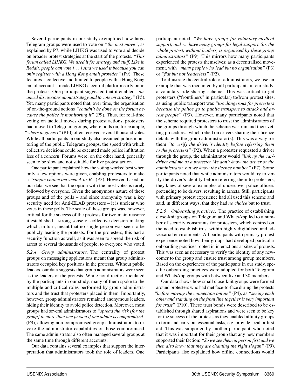Several participants in our study exemplified how large Telegram groups were used to vote on *"the next move"*, as explained by P7, while LIHKG was used to vote and decide on broader protest strategies at the start of the protests. *"This forum called LIHKG. We used it for strategy and stuff. Like in Reddit, people can vote [. . . ] And we used it because you can only register with a Hong Kong email provider"* (P9). These features – collective and limited to people with a Hong Kong email account – made LIHKG a central platform early on in the protests. One participant suggested that it enabled *"nuanced discussions about strategy and to vote on strategy"* (P5). Yet, many participants noted that, over time, the organisation of on-the-ground actions *"couldn't be done on the forum because the police is monitoring it"* (P9). Thus, for real-time voting on tactical moves during protest actions, protesters had moved to Telegram groups, where polls on, for example, *"where to go next"* (P10) often received several thousand votes. While all participants in our study also assumed police monitoring of the public Telegram groups, the speed with which collective decisions could be executed made police infiltration less of a concern. Forums were, on the other hand, generally seen to be slow and not suitable for live protest action.

One participant explained how the voting worked best when only a few options were given, enabling protesters to make a *"simple choice between A or B"* (P3). However, based on our data, we see that the option with the most votes is rarely followed by everyone. Given the anonymous nature of these groups and of the polls – and since anonymity was a key security need for Anti-ELAB protesters – it is unclear who votes in these polls. The scale of these groups was, however, critical for the success of the protests for two main reasons: it established a strong sense of collective decision making which, in turn, meant that no single person was seen to be publicly leading the protests. For the protesters, this had a security function as well, as it was seen to spread the risk of arrest to several thousands of people; to everyone who voted.

<span id="page-7-0"></span>*5.2.4 Group administrators.* The centrality of protest groups on messaging applications meant that group administrators occupied key positions in the protests. Without public leaders, our data suggests that group administrators were seen as the leaders of the protests. While not directly articulated by the participants in our study, many of them spoke to the multiple and critical roles performed by group administrators and the trust that protesters placed in them. Importantly, however, group administrators remained anonymous leaders, hiding their identity to avoid police detection. Moreover, most groups had several administrators to *"spread the risk [for the group] to more than one person if one admin is compromised"* (P9), allowing non-compromised group administrators to revoke the administrator capabilities of those compromised. The same administrator also often managed several groups at the same time through different accounts.

Our data contains several examples that support the interpretation that administrators took the role of leaders. One

participant noted: *"We have groups for voluntary medical support, and we have many groups for legal support. So, the whole protest, without leaders, is organised by these group administrators"* (P9). This mirrors how many participants experienced the protests themselves: as a decentralised movement, with *"many people who lead but no organisation"* (P3) or *"flat but not leaderless"* (P2).

To illustrate the central role of administrators, we use an example that was recounted by all participants in our study: a voluntary ride-sharing scheme. This was critical to get protesters ("frontliners" in particular) to/from protest sites, as using public transport was *"too dangerous for protesters because the police go to public transport to attack and arrest people"* (P3). However, many participants noted that the scheme required protesters to trust the administrators of the groups through which the scheme was run and their vetting procedures, which relied on drivers sharing their licence details with the group administrator(s). This was a way for them *"to verify the driver's identity before referring them to the protesters"* (P2). When a protester requested a driver through the group, the administrator would *"link up the car/ driver and me as a protester. We don't know the driver or the administrator, but we know the licence number"* (P7). Some participants noted that while administrators would try to verify the driver's identity before referring them to protesters, they knew of several examples of undercover police officers pretending to be drivers, resulting in arrests. Still, participants with primary protest experience had all used this scheme and said, in different ways, that they had *no choice* but to trust.

*5.2.5 Onboarding practices.* The practice of establishing close-knit groups on Telegram and WhatsApp led to a number of security constraints for protesters, which centred on the need to establish trust within highly digitalised and adversarial environments. All participants with primary protest experience noted how their groups had developed particular onboarding practices rooted in interactions at sites of protests. This was seen as necessary to verify the identity of any newcomer to the group and ensure trust among group members. Based on the experiences of the participants in our study, specific onboarding practices were adopted for both Telegram and WhatsApp groups with between five and 30 members.

Our data shows how small close-knit groups were formed around protesters who had met face-to-face during the protests *"before moving the connection online"* (P4), as *"seeing each other and standing on the front line together is very important for trust"* (P10). These trust bonds were described to be established through shared aspirations and were seen to be key for the success of the protests as they enabled affinity groups to form and carry out essential tasks, e.g. provide legal or first aid. This was supported by another participant, who noted that it was important for their group that any new members supported their faction: *"So we see them in person first and we then also know that they are chanting the right slogan"* (P9). Participants also explained how offline connections would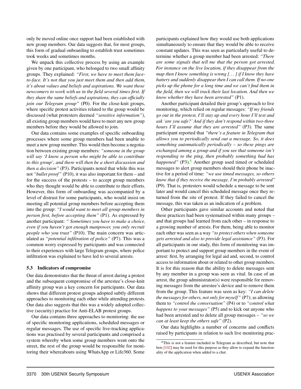only be moved online once rapport had been established with new group members. Our data suggests that, for most groups, this form of gradual onboarding to establish trust sometimes took weeks and sometimes months.

We unpack this collective process by using an example given by one participant, who belonged to two small affinity groups. They explained: *"First, we have to meet them faceto-face. It's not that you just meet them and then add them, it's about values and beliefs and aspirations. We want those newcomers to work with us in the field several times first. If they share the same beliefs and aspirations, they can officially join our Telegram group"* (P0). For the close-knit groups, where specific protest activities related to the group would be discussed (what protesters deemed *"sensitive information"*), all existing group members would have to meet any new group members before they would be allowed to join.

Our data contains some examples of specific onboarding processes where some group members had been unable to meet a new group member. This would then become a negotiation between existing group members: *"someone in the group will say 'I know a person who might be able to contribute to this group', and there will then be a short discussion and then a decision"* (P3). Participants noted that while this was not *"bullet proof"* (P10), it was also important for them – and for the success of the protests – to accept group members who they thought would be able to contribute to their efforts. However, this form of onboarding was accompanied by a level of distrust for some participants, who would insist on meeting all potential group members before accepting them into the group: *"I would want to meet all group members in person first, before accepting them"* (P1). As expressed by another participant: *" Sometimes you have to make a choice, even if you haven't got enough manpower, you only recruit people who you trust"* (P10). The main concern was articulated as *"potential infiltration of police"* (P7). This was a common worry expressed by participants and was connected to their experiences with large Telegram groups, where police infiltration was explained to have led to several arrests.

#### <span id="page-8-0"></span>5.3 Indicators of compromise

Our data demonstrates that the threat of arrest during a protest and the subsequent compromise of the arrestee's close-knit affinity group was a key concern for participants. Our data shows that different protest groups adopted subtly different approaches to monitoring each other while attending protests. Our data also suggests that this was a widely adopted collective (security) practice for Anti-ELAB protest groups.

Our data contains three approaches to monitoring: the use of specific monitoring applications, scheduled messages or regular messages. The use of specific live-tracking applications was practised by several participants and comprised a system whereby when some group members went onto the street, the rest of the group would be responsible for monitoring their whereabouts using WhatsApp or Life360. Some

participants explained how they would use both applications simultaneously to ensure that they would be able to receive constant updates. This was seen as particularly useful to determine whether a group member had been arrested: *"There are some signals that tell me that the person got arrested. For instance on the live location, if they disappear from the map then I know something is wrong [. . . ] if I know they have battery and suddenly disappear then I can call them. If no-one picks up the phone for a long time and we can't find them in the field, then we will track their last location. And then we know whether they have been arrested"* (P1).

Another participant detailed their group's approach to live monitoring, which relied on regular messages: *"If my friends go out in the protest, I'll stay up and every hour I'll text and ask 'are you safe?' And if they don't respond within two-three hours I'll assume that they are arrested"* (P3). The same participant reported that *"there's a feature in Telegram that allows you to periodically send out a message. So, it does something automatically periodically – so these pings are exchanged among a group and if you see that someone isn't responding to the ping, then probably something bad has happened"* (P3).<sup>[6](#page-8-1)</sup> Another group used timed or scheduled messages to alert group members should their phone be inactive for a period of time: *"we use timed messages, so others know that if they receive the message, I'm probably arrested"* (P9). That is, protesters would schedule a message to be sent later and would cancel this scheduled message once they returned from the site of protest. If they failed to cancel the message, this was taken as an indication of a problem.

Other participants gave similar accounts and noted that these practices had been systematised within many groups – and that groups had learned from each other – in response to a growing number of arrests. For them, being able to monitor each other was seen as a way *"to protect others when someone gets arrested and also to provide legal assistance"* (P3). For all participants in our study, this form of monitoring was important to protect and support group members in the event of arrest: first, by arranging for legal aid and, second, to control access to information about or related to other group members. It is for this reason that the ability to delete messages sent by any member in a group was seen as vital. In case of an arrest, the group administrator(s) were responsible for removing messages from the arrestee's device and to remove them from the group. This feature was seen as key: *"I can delete the messages for others, not only for myself"* (P7); as allowing them to *"control the conversation"* (P4) or to *"control what happens to your messages"* (P5) and to kick out anyone who had been arrested and to delete all group messages – *"so we can at least keep the others safe"* (P2).

Our data highlights a number of concerns and conflicts raised by participants in relation to such live monitoring prac-

<span id="page-8-1"></span><sup>6</sup>This is not a feature included in Telegram as described, but note that bots [\[102\]](#page-18-12) may be used for this purpose as they allow to expand the functionality of the application when added to a chat.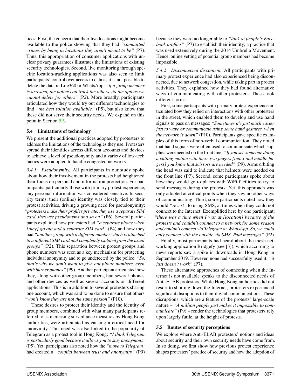tices. First, the concern that their live locations might become available to the police showing that they had *"committed crimes by being in locations they aren't meant to be"* (P7). Thus, this appropriation of consumer applications with unclear privacy guarantees illustrates the limitations of existing security technologies. Second, live monitoring through specific location-tracking applications was also seen to limit participants' control over access to data as it is not possible to delete the data in Life360 or WhatsApp: *"if a group member is arrested, the police can track the others via the app as we cannot delete for others"* (P2). More broadly, participants articulated how they would try out different technologies to find *"the best solution available"* (P5), but also know that these did not serve their security needs. We expand on this point in Section [5.5.](#page-9-1)

### <span id="page-9-0"></span>5.4 Limitations of technology

We present the additional practices adopted by protesters to address the limitations of the technologies they use. Protesters spread their identities across different accounts and devices to achieve a level of pseudonymity and a variety of low-tech tactics were adopted to handle congested networks.

*5.4.1 Pseudonymity.* All participants in our study spoke about how their involvement in the protests had heightened their focus on personal and information protection. For participants, particularly those with primary protest experience, any personal information was considered sensitive. In security terms, their (online) identity was closely tied to their protest activities, driving a growing need for pseudonymity: *"protesters make their profiles private, they use a separate SIM card, they use pseudonyms and so on"* (P6). Several participants explained how protesters had *"a separate phone when [they] go out and a separate SIM card"* (P4) and how they had *"another group with a different number which is attached to a different SIM card and completely isolated from the usual groups"* (P2). This separation between protest groups and phone numbers was seen as a key mechanism for protecting individual anonymity and to go undetected by the police: *"So, that's why we don't want to give out phone numbers, even with burner phones"* (P9). Another participant articulated how they, along with other group members, had several phones and other devices as well as several accounts on different applications. This is in addition to several protesters sharing one account, which was said to be done to ensure that others *"won't know they are not the same person"* (P10).

These desires to protect their identity and the identity of group members, combined with what many participants referred to as increasing surveillance measures by Hong Kong authorities, were articulated as causing a critical need for anonymity. This need was also linked to the popularity of Telegram as a protest tool in Hong Kong: *"I think Telegram is particularly good because it allows you to stay anonymous"* (P5). Yet, participants also noted how the *"move to Telegram"* had created a *"conflict between trust and anonymity"* (P9) because they were no longer able to *"look at people's Facebook profiles"* (P7) to establish their identity; a practice that was used extensively during the 2014 Umbrella Movement. Hence, online vetting of potential group members had become impossible.

*5.4.2 Disconnected discontent.* All participants with primary protest experience had also experienced being disconnected, due to network congestion, while taking part in protest activities. They explained how they had found alternative ways of communicating with other protesters. These took different forms.

First, some participants with primary protest experience articulated how they relied on interactions with other protesters in the street, which enabled them to develop and use hand signals to pass on messages: *"Sometimes it's just much easier just to wave or communicate using some hand gestures, when the network is down"* (P10). Participants gave specific examples of this form of non-verbal communication. They noted that hand signals were often used to communicate which supplies were needed on the front line: *"If you see someone doing a cutting motion with these two fingers [index and middle fingers] you know that scissors are needed"* (P9). Arms orbiting the head was said to indicate that helmets were needed on the front line (P7). Second, some participants spoke about how they would go to places with WiFi facilities to try to send messages during the protests. Yet, this approach was only adopted at critical points when they saw no other ways of communicating. Third, some participants noted how they would *"revert"* to using SMS, at times when they could not connect to the Internet. Exemplified here by one participant: *"there was a time when I was at [location] because of the protests and couldn't connect to a network for some reason and couldn't connect via Telegram or WhatsApp. So, we could only connect with the outside via SMS. Paid messages"* (P2).

Finally, most participants had heard about the mesh networking application Bridgefy (see [\[3\]](#page-14-10)), which according to news reports saw a spike in downloads in Hong Kong in September 2019. However, none had successfully used it: *"it just doesn't work"* (P7).

These alternative approaches of connecting when the Internet is not available speaks to the disconnected needs of Anti-ELAB protesters. While Hong Kong authorities did not resort to shutting down the Internet, protesters experienced significant disruptions to their digital communications. These disruptions, which are a feature of the protests' large-scale nature – *"A million people just makes it impossible to communicate*" (P9) – render the technologies that protesters rely upon largely futile, at the height of protests.

#### <span id="page-9-1"></span>5.5 Routes of security perceptions

We explore where Anti-ELAB protesters' notions and ideas about security and their own security needs have come from. In so doing, we first show how previous protest experience shapes protesters' practice of security and how the adoption of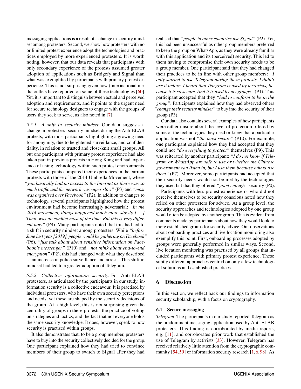messaging applications is a result of a change in security mindset among protesters. Second, we show how protesters with no or limited protest experience adopt the technologies and practices employed by more experienced protesters. It is worth noting, however, that our data reveals that participants with only secondary experience of the protests assumed greater adoption of applications such as Bridgefy and Signal than what was exemplified by participants with primary protest experience. This is not surprising given how (inter)national media outlets have reported on some of these technologies [\[60\]](#page-16-19). Yet, it is important to distinguish between actual and perceived adoption and requirements, and it points to the urgent need for secure technology designers to engage with the groups of users they seek to serve, as also noted in [\[7\]](#page-14-6).

*5.5.1 A shift in security mindset.* Our data suggests a change in protesters' security mindset during the Anti-ELAB protests, with most participants highlighting a growing need for anonymity, due to heightened surveillance, and confidentiality, in relation to trusted and close-knit small groups. All but one participant with primary protest experience had also taken part in previous protests in Hong Kong and had experience of using technology within such protest environments. These participants compared their experiences in the current protests with those of the 2014 Umbrella Movement, where *"you basically had no access to the Internet as there was so much traffic and the network was super slow"* (P3) and *"most was organised over Facebook"* (P2). In addition to changes to technology, several participants highlighted how the protest environment had become increasingly adversarial: *"In the 2014 movement, things happened much more slowly [. . . ] There was no conflict most of the time. But this is very different now"* (P9). Many participants noted that this had led to a shift in security mindset among protesters. While *"before June last year [2019], people would be gathering on Facebook"* (P6), *"just talk about about sensitive information on Facebook's messenger"* (P10) and *"not think about end-to-end encryption"* (P2), this had changed with what they described as an increase in police surveillance and arrests. This shift in mindset had led to a greater adoption of Telegram.

*5.5.2 Collective information security.* For Anti-ELAB protesters, as articulated by the participants in our study, information security is a collective endeavour. It is practised by individual protesters, who have their own security perceptions and needs, yet these are shaped by the security decisions of the group. At a high level, this is not surprising given the centrality of groups in these protests, the practice of voting on strategies and tactics, and the fact that not everyone holds the same security knowledge. It does, however, speak to how security is practised within groups.

It also demonstrates that, to be a group member, protesters have to buy into the security collectively decided for the group. One participant explained how they had tried to convince members of their group to switch to Signal after they had

realised that *"people in other countries use Signal"* (P2). Yet, this had been unsuccessful as other group members preferred to keep the group on WhatsApp, as they were already familiar with this application and its (perceived) security. This led to them having to compromise their own security needs to be a group member. One participant said that they had changed their practices to be in line with other group members: *"I only started to use Telegram during these protests. I didn't use it before. I heard that Telegram is used by terrorists, because it is so secure. And it is used by my groups"* (P1). This participant accepted that they *"had to conform to be in the group"*. Participants explained how they had observed others *"change their security mindset"* to buy into the security of their group (P3).

Our data also contains several examples of how participants were either unsure about the level of protection offered by some of the technologies they used or knew that a particular application was not *"the most secure"* (P10). For example, one participant explained how they had accepted that they could not *"do everything to protect"* themselves (P9). This was reiterated by another participant: *"I do not know if Telegram or WhatsApp are safe to use or whether the Chinese government can listen in, but I use them because others use them"* (P7). Moreover, some participants had accepted that their security needs would not be met by the technologies they used but that they offered *"good enough"* security (P0).

Participants with less protest experience or who did not perceive themselves to be security conscious noted how they relied on other protesters for advice. At a group level, the security approaches and technologies adopted by one group would often be adopted by another group. This is evident from comments made by participants about how they would look to more established groups for security advice. Our observations about onboarding practices and live location monitoring also exemplify this point. First, onboarding processes adopted by groups were generally performed in similar ways. Second, live location monitoring was practised by all groups that included participants with primary protest experience. These subtly different approaches centred on only a few technological solutions and established practices.

## <span id="page-10-0"></span>6 Discussion

In this section, we reflect back our findings to information security scholarship, with a focus on cryptography.

## 6.1 Secure messaging

*Telegram.* The participants in our study reported Telegram as the predominant messaging application used by Anti-ELAB protesters. This finding is corroborated by media reports, e.g. [\[11\]](#page-14-11), and corroborates prior work that established the use of Telegram by activists [\[33\]](#page-15-3). However, Telegram has received relatively little attention from the cryptographic community  $[54, 59]$  $[54, 59]$  $[54, 59]$  or information security research  $[1, 6, 98]$  $[1, 6, 98]$  $[1, 6, 98]$  $[1, 6, 98]$  $[1, 6, 98]$ . As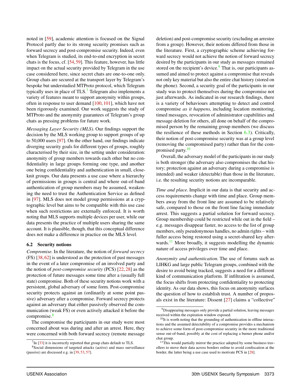noted in [\[59\]](#page-16-21), academic attention is focused on the Signal Protocol partly due to its strong security promises such as forward secrecy and post-compromise security. Indeed, even when Telegram is studied, its end-to-end encryption in secret chats is the focus, cf. [\[54,](#page-16-20)[59\]](#page-16-21). This feature, however, has little impact on the actual security provided by Telegram in the use case considered here, since secret chats are one-to-one only. Group chats are secured at the transport layer by Telegram's bespoke but understudied MTProto protocol, which Telegram typically uses in place of TLS.<sup>[7](#page-11-0)</sup> Telegram also implements a variety of features meant to support anonymity within groups, often in response to user demand [\[100,](#page-18-13) [101\]](#page-18-14), which have not been rigorously examined. Our work suggests the study of MTProto and the anonymity guarantees of Telegram's group chats as pressing problems for future work.

*Messaging Layer Security (MLS).* Our findings support the decision by the MLS working group to support groups of up to 50,000 users [\[97\]](#page-17-21). On the other hand, our findings indicate diverging security goals for different types of groups, roughly characterised by their size, in the setting under consideration: anonymity of group members towards each other but no confidentiality in large groups forming one type, and another one being confidentiality and authentication in small, closeknit groups. Our data presents a use case where a hierarchy of permissions in groups is central and where out-of-band authentication of group members may be assumed, weakening the need to trust the Authentication Service as defined in [\[97\]](#page-17-21). MLS does not model group permissions at a cryptographic level but aims to be compatible with this use case when such restrictions are externally enforced. It is worth noting that MLS supports multiple devices per user, while our data presents the practice of multiple users sharing the same account. It is plausible, though, that this conceptual difference does not make a difference in practice on the MLS level.

#### 6.2 Security notions

*Compromise.* In the literature, the notion of *forward secrecy* (FS) [\[38,](#page-15-17) [62\]](#page-16-22) is understood as the protection of past messages in the event of a later compromise of an involved party and the notion of *post-compromise security* (PCS) [\[22,](#page-15-18) [28\]](#page-15-19) as the protection of future messages some time after a (usually full state) compromise. Both of these security notions work with a persistent, global adversary of some form. Post-compromise security protects against an (ordinarily at some point passive) adversary after a compromise. Forward secrecy protects against an adversary that either passively observed the communication (weak FS) or even actively attacked it before the compromise.<sup>[8](#page-11-1)</sup>

The compromise the participants in our study were most concerned about was during and after an arrest. Here, they were concerned with both forward secrecy (remote message deletion) and post-compromise security (excluding an arrestee from a group). However, their notions differed from those in the literature. First, a cryptographic scheme achieving forward secrecy would not achieve the notion of forward secrecy desired by the participants in our study as messages remained stored on the recipient's device. $9$  That is, our participants assumed and aimed to protect against a compromise that reveals not only key material but also the entire chat history (stored on the phone). Second, a security goal of the participants in our study was to protect themselves during the compromise not just afterwards. As indicated in our research findings, there is a variety of behaviours attempting to detect and control compromise *as it happens*, including location monitoring, timed messages, revocation of administrator capabilities and message deletion for others, all done on behalf of the compromised person by the remaining group members (we discuss the resilience of these methods in Section  $6.3$ ). Critically, their notion of post-compromise security was at a group level (removing the compromised party) rather than for the com-promised party.<sup>[10](#page-11-3)</sup>

Overall, the adversary model of the participants in our study is both stronger (the adversary also compromises the chat history; protection against an adversary during a compromise is intended) and weaker (detectable) than those in the literature, i.e. the resulting security notions are incomparable.

*Time and place.* Implicit in our data is that security and access requirements change with time and place. Group members away from the front line are assumed to be relatively safe, compared to those on the front line facing immediate arrest. This suggests a partial solution for forward secrecy. Group membership could be restricted while out in the field – e.g. messages disappear faster, no access to the list of group members, only pseudonymous handles, no admin rights – with fuller access being restored using a secret-shared key after-wards.<sup>[11](#page-11-4)</sup> More broadly, it suggests modelling the dynamic nature of access privileges over time and place.

*Anonymity and authentication.* The use of forums such as LIHKG and large public Telegram groups, combined with the desire to avoid being tracked, suggests a need for a different kind of communication platform. If infiltration is assumed, the focus shifts from protecting confidentiality to protecting identity. As our data shows, this focus on anonymity surfaces the question of how to establish trust. A number of proposals exist in the literature: Dissent [\[27\]](#page-15-21) claims a "collective"

<span id="page-11-1"></span><span id="page-11-0"></span> $7$ In [\[33\]](#page-15-3) it is incorrectly reported that group chats default to TLS.

<sup>8</sup>Social dimensions of targeted attacks (active) and mass surveillance (passive) are discussed e.g. in [\[39,](#page-15-20) [53,](#page-16-23) [57\]](#page-16-14).

<span id="page-11-2"></span><sup>&</sup>lt;sup>9</sup>Disappearing messages only provide a partial solution, leaving messages received within the expiration window exposed.

<span id="page-11-3"></span><sup>&</sup>lt;sup>10</sup>It is worth noting that the grounding of authentication in offline interactions and the assumed detectability of a compromise provides a mechanism to achieve some form of post-compromise security in the more traditional sense out-of-band, possibly at the cost of replacing a burner phone and/or chat group.

<span id="page-11-4"></span><sup>&</sup>lt;sup>11</sup>This would partially mirror the practice adopted by some business travellers to move their data across borders online to avoid confiscation at the border, the latter being a use case used to motivate PCS in [\[28\]](#page-15-19).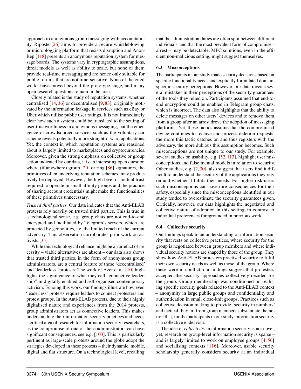approach to anonymous group messaging with accountability, Riposte [\[26\]](#page-15-22) aims to provide a secure whistleblowing or microblogging platform that resists disruption and Anon-Rep [\[118\]](#page-18-15) presents an anonymous reputation system for message boards. The systems vary in cryptographic assumptions, threat models as well as ability to scale, but none of them provide real-time messaging and are hence only suitable for public forums that are not time-sensitive. None of the cited works have moved beyond the prototype stage, and many open research questions remain in the area.

Closely related is the study of reputation systems, whether centralised [\[14,](#page-14-14) [36\]](#page-15-23) or decentralised [\[9,](#page-14-15) [83\]](#page-17-22), originally motivated by the information leakage in services such as eBay or Uber which utilise public user ratings. It is not immediately clear how such a system could be translated to the setting of user trustworthiness in anonymous messaging, but the emergence of crowdsourced services such as the voluntary car scheme reveals potentially more straightforward applications. Yet, the context in which reputation systems are reasoned about is largely limited to marketplaces and cryptocurrencies. Moreover, given the strong emphasis on collective or group action indicated by our data, it is an interesting open question where (if anywhere) group [\[20\]](#page-15-24) or ring [\[86\]](#page-17-23) signatures, the primitives often underlying reputation schemes, may productively be deployed. However, the high level of mutual trust required to operate in small affinity groups and the practice of sharing account credentials might make the functionalities of these primitives unnecessary.

*Trusted third parties.* Our data indicates that the Anti-ELAB protests rely heavily on trusted third parties. This is true in a technological sense, e.g. group chats are not end-to-end encrypted and facilitated by Telegram's servers, which are protected by geopolitics, i.e. the limited reach of the current adversary. This observation corroborates prior work on activists [\[33\]](#page-15-3).

While this technological reliance might be an artefact of necessity – viable alternatives are absent – our data also shows that trusted third parties, in the form of anonymous group administrators, are a central feature of these 'decentralised' and 'leaderless' protests. The work of Azer et al. [\[10\]](#page-14-16) highlights the significance of what they call "connective leadership" in digitally enabled and self-organised contemporary activism. Echoing this work, our findings illustrate how even 'leaderless' protests require leaders to connect protesters and protest groups. In the Anti-ELAB protests, due to their highly digitalised nature and experiences from the 2014 protests, group administrators act as connective leaders. This makes understanding their information security practices and needs a critical area of research for information security researchers, as the compromise of one of these administrators can have significant consequences, see e.g. [\[103\]](#page-18-16). This is particularly pertinent as large-scale protests around the globe adopt the strategies developed in these protests – their dynamic, mobile, digital and flat structure. On a technological level, recalling

that the administration duties are often split between different individuals, and that the most prevalent form of compromise – arrest – may be detectable, MPC solutions, even in the efficient non-malicious setting, might suggest themselves.

## <span id="page-12-0"></span>6.3 Misconceptions

The participants in our study made security decisions based on specific functionality needs and explicitly formulated domainspecific security perceptions. However, our data reveals several mistakes in their perceptions of the security guarantees of the tools they relied on. Participants assumed that end-toend encryption could be enabled in Telegram group chats, which is incorrect. The data also highlights that the ability to delete messages on other users' devices and to remove them from a group after an arrest drove the adoption of messaging platforms. Yet, these tactics assume that the compromised device continues to receive and process deletion requests; the more this tactic catches on and thus registers with the adversary, the more dubious this assumption becomes. Such misconceptions are not unique to our study. For example, several studies on usability, e.g. [\[52,](#page-16-24) [113\]](#page-18-17), highlight user misconceptions and false mental models in relation to security. Other studies, e.g. [\[2,](#page-14-17) [30\]](#page-15-25), also suggest that users find it difficult to understand the security of the applications they rely on and whether it fulfils their needs. For higher-risk users such misconceptions can have dire consequences for their safety, especially since the misconceptions identified in our study tended to overestimate the security guarantees given. Critically, however, our data highlights the negotiated and collective nature of adoption in this setting, in contrast to individual preferences foregrounded in previous work.

## 6.4 Collective security

Our findings speak to an understanding of information security that rests on collective practices, where security for the group is negotiated between group members and where individual security notions are shaped by those of the group. They show how Anti-ELAB protesters practised security to fulfil their own security needs as well as those of the group. Where these were in conflict, our findings suggest that protesters accepted the security approaches collectively decided for the group. Group membership was conditioned on realising specific security goals related to the Anti-ELAB context – anonymity in large public groups and confidentiality and authentication in small close-knit groups. Practices such as collective decision making to provide 'security in numbers' and tactical 'buy in' from group members substantiate the notion that, for the participants in our study, information security is a collective endeavour.

The idea of *collectivity* in information security is not novel, yet, research on group-level information security is sparse – and is largely limited to work on employee groups [\[4,](#page-14-18) [56\]](#page-16-25) and socialising contexts [\[116\]](#page-18-18). Moreover, usable security scholarship generally considers security at an individual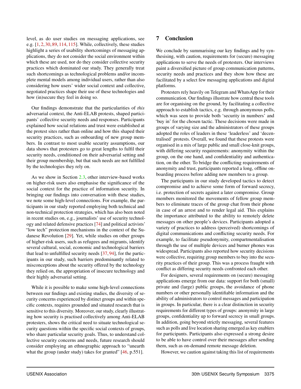level, as do user studies on messaging applications, see e.g. [\[1,](#page-14-12) [2,](#page-14-17) [30,](#page-15-25) [89,](#page-17-24) [114,](#page-18-19) [115\]](#page-18-20). While, collectively, these studies highlight a series of usability shortcomings of messaging applications, they do not consider the social environment within which these are used, nor do they consider collective security practices which dominated our study. They generally treat such shortcomings as technological problems and/or incomplete mental models among individual users, rather than also considering how users' wider social context and collective, negotiated practices shape their use of these technologies and how (in)secure they feel in doing so.

Our findings demonstrate that the particularities of *this* adversarial context, the Anti-ELAB protests, shaped participants' collective security needs and responses. Participants explained how social relations and trust were established at the protest sites rather than online and how this shaped their security practices, such as onboarding of new group members. In contrast to most usable security assumptions, our data shows that protesters go to great lengths to fulfil their security needs, conditioned on their adversarial setting and their group membership, but that such needs are not fulfilled by the technologies they rely on.

As we show in Section [2.3,](#page-3-3) other interview-based works on higher-risk users also emphasise the significance of the social context for the practice of information security. In bringing our findings into conversation with these studies, we note some high-level connections. For example, the participants in our study reported employing both technical and non-technical protection strategies, which has also been noted in recent studies on, e.g., journalists' use of security technology and related defensive practices [\[74\]](#page-17-2) and political activists' "low tech" protection mechanisms in the context of the Sudanese Revolution [\[29\]](#page-15-2). Yet, while studies on other groups of higher-risk users, such as refugees and migrants, identify several cultural, social, economic and technological barriers that lead to unfulfilled security needs [\[37,](#page-15-4) [94\]](#page-17-4), for the participants in our study, such barriers predominantly related to misconceptions about the security offered by the technology they relied on, the appropriation of insecure technology and their highly adversarial setting.

While it is possible to make some high-level connections between our findings and existing studies, the diversity of security concerns experienced by distinct groups and within specific contexts, requires grounded and situated research that is sensitive to this diversity. Moreover, our study, clearly illustrating how security is practised collectively among Anti-ELAB protesters, shows the critical need to situate technological security questions within the specific social contexts of groups, who share particular security goals. Thus, to understand collective security concerns and needs, future research should consider employing an ethnographic approach to "unearth what the group (under study) takes for granted" [\[46,](#page-16-26) p.551].

## <span id="page-13-0"></span>7 Conclusion

We conclude by summarising our key findings and by synthesising, with caution, requirements for (secure) messaging applications to serve the needs of protesters. Our interviews paint a diversified picture of group communication patterns, security needs and practices and they show how these are facilitated by a select few messaging applications and digital platforms.

Protesters rely heavily on Telegram and WhatsApp for their communication. Our findings illustrate how central these tools are for organising on the ground, by facilitating a collective approach to establish tactics, e.g. through anonymous polls, which was seen to provide both 'security in numbers' and 'buy in' for the chosen tactic. These decisions were made in groups of varying size and the administrators of these groups adopted the roles of leaders in these 'leaderless' and 'decentralised' protests. Overall, we found that these protests were organised in a mix of large public and small close-knit groups, with differing security requirements: anonymity within the group, on the one hand, and confidentiality and authentication, on the other. To bridge the conflicting requirements of anonymity and trust, participants reported a long, offline onboarding process before adding new members to a group.

The participants in our study developed tactics to detect compromise and to achieve some form of forward secrecy, i.e. protection of secrets against a later compromise. Group members monitored the movements of fellow group members to eliminate traces of the group chat from their phone in case of an arrest and to render legal aid. This explains the importance attributed to the ability to remotely delete messages on other people's devices. Participants adopted a variety of practices to address (perceived) shortcomings of digital communications and conflicting security needs. For example, to facilitate pseudonymity, compartmentalisation through the use of multiple devices and burner phones was widespread. Participants also reported how security decisions were collective, requiring group members to buy into the security practices of their group. This was a process fraught with conflict as differing security needs confronted each other.

For designers, several requirements on (secure) messaging applications emerge from our data: support for both (small) private and (large) public groups, the avoidance of phone numbers or other personally identifiable information and the ability of administrators to control messages and participation in groups. In particular, there is a clear distinction in security requirements for different types of groups: anonymity in large groups, confidentiality up to forward secrecy in small groups. In addition, going beyond strictly messaging, several features such as polls and live location sharing emerged as key enablers for participants. Participants also expressed a strong desire to be able to have control over their messages after sending them, such as on-demand remote message deletion.

However, we caution against taking this list of requirements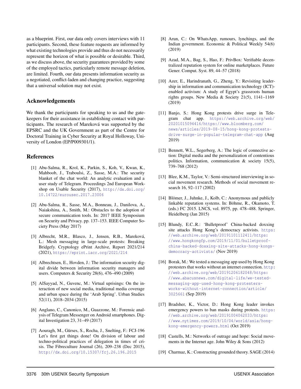as a blueprint. First, our data only covers interviews with 11 participants. Second, these feature requests are informed by what existing technologies provide and thus do not necessarily represent the horizon of what is possible or desirable. Third, as we discuss above, the security guarantees provided by some of the employed tactics, particularly remote message deletion, are limited. Fourth, our data presents information security as a negotiated, conflict-laden and changing practice, suggesting that a universal solution may not exist.

## Acknowledgements

We thank the participants for speaking to us and the gatekeepers for their assistance in establishing contact with participants. The research of Mareková was supported by the EPSRC and the UK Government as part of the Centre for Doctoral Training in Cyber Security at Royal Holloway, University of London (EP/P009301/1).

## References

- <span id="page-14-12"></span>[1] Abu-Salma, R., Krol, K., Parkin, S., Koh, V., Kwan, K., Mahboob, J., Traboulsi, Z., Sasse, M.A.: The security blanket of the chat world: An analytic evaluation and a user study of Telegram. Proceedings 2nd European Workshop on Usable Security (2017), [http://dx.doi.org/](http://dx.doi.org/10.14722/eurousec.2017.23006) [10.14722/eurousec.2017.23006](http://dx.doi.org/10.14722/eurousec.2017.23006)
- <span id="page-14-17"></span>[2] Abu-Salma, R., Sasse, M.A., Bonneau, J., Danilova, A., Naiakshina, A., Smith, M.: Obstacles to the adoption of secure communication tools. In: 2017 IEEE Symposium on Security and Privacy. pp. 137–153. IEEE Computer Society Press (May 2017)
- <span id="page-14-10"></span>[3] Albrecht, M.R., Blasco, J., Jensen, R.B., Mareková, L.: Mesh messaging in large-scale protests: Breaking Bridgefy. Cryptology ePrint Archive, Report 2021/214 (2021), <https://eprint.iacr.org/2021/214>
- <span id="page-14-18"></span>[4] Albrechtsen, E., Hovden, J.: The information security digital divide between information security managers and users. Computers & Security 28(6), 476–490 (2009)
- <span id="page-14-3"></span>[5] AlSayyad, N., Guvenc, M.: Virtual uprisings: On the interaction of new social media, traditional media coverage and urban space during the 'Arab Spring'. Urban Studies 52(11), 2018–2034 (2015)
- <span id="page-14-13"></span>[6] Anglano, C., Canonico, M., Guazzone, M.: Forensic analysis of Telegram Messenger on Android smartphones. Digital Investigation 23, 31–49 (2017)
- <span id="page-14-6"></span>[7] Aouragh, M., Gürses, S., Rocha, J., Snelting, F.: FCJ-196 Let's first get things done! On division of labour and techno-political practices of delegation in times of crisis. The Fibreculture Journal (26), 209–238 (Dec 2015), <http://dx.doi.org/10.15307/fcj.26.196.2015>
- <span id="page-14-5"></span>[8] Arun, C.: On WhatsApp, rumours, lynchings, and the Indian government. Economic & Political Weekly 54(6) (2019)
- <span id="page-14-15"></span>[9] Azad, M.A., Bag, S., Hao, F.: PrivBox: Verifiable decentralized reputation system for online marketplaces. Future Gener. Comput. Syst. 89, 44–57 (2018)
- <span id="page-14-16"></span>[10] Azer, E., Harindranath, G., Zheng, Y.: Revisiting leadership in information and communication technology (ICT) enabled activism: A study of Egypt's grassroots human rights groups. New Media & Society 21(5), 1141–1169 (2019)
- <span id="page-14-11"></span>[11] Banjo, S.: Hong Kong protests drive surge in Telegram chat app. [https://web.archive.org/web/](https://web.archive.org/web/20201015094416/https://www.bloomberg.com/news/articles/2019-08-15/hong-kong-protests-drive-surge-in-popular-telegram-chat-app) [20201015094416/https://www.bloomberg.com/](https://web.archive.org/web/20201015094416/https://www.bloomberg.com/news/articles/2019-08-15/hong-kong-protests-drive-surge-in-popular-telegram-chat-app) [news/articles/2019-08-15/hong-kong-protests](https://web.archive.org/web/20201015094416/https://www.bloomberg.com/news/articles/2019-08-15/hong-kong-protests-drive-surge-in-popular-telegram-chat-app)[drive-surge-in-popular-telegram-chat-app](https://web.archive.org/web/20201015094416/https://www.bloomberg.com/news/articles/2019-08-15/hong-kong-protests-drive-surge-in-popular-telegram-chat-app) (Aug 2019)
- <span id="page-14-4"></span>[12] Bennett, W.L., Segerberg, A.: The logic of connective action: Digital media and the personalization of contentious politics. Information, communication & society 15(5), 739–768 (2012)
- <span id="page-14-8"></span>[13] Blee, K.M., Taylor, V.: Semi-structured interviewing in social movement research. Methods of social movement research 16, 92–117 (2002)
- <span id="page-14-14"></span>[14] Blömer, J., Juhnke, J., Kolb, C.: Anonymous and publicly linkable reputation systems. In: Böhme, R., Okamoto, T. (eds.) FC 2015. LNCS, vol. 8975, pp. 478–488. Springer, Heidelberg (Jan 2015)
- <span id="page-14-0"></span>[15] Blundy, E.C..R.: 'Bulletproof' China-backed doxxing site attacks Hong Kong's democracy activists. [https:](https://web.archive.org/web/20191101112411/https://www.hongkongfp.com/2019/11/01/bulletproof-china-backed-doxxing-site-attacks-hong-kongs-democracy-activists/) [//web.archive.org/web/20191101112411/https:](https://web.archive.org/web/20191101112411/https://www.hongkongfp.com/2019/11/01/bulletproof-china-backed-doxxing-site-attacks-hong-kongs-democracy-activists/) [//www.hongkongfp.com/2019/11/01/bulletproof](https://web.archive.org/web/20191101112411/https://www.hongkongfp.com/2019/11/01/bulletproof-china-backed-doxxing-site-attacks-hong-kongs-democracy-activists/)[china-backed-doxxing-site-attacks-hong-kongs](https://web.archive.org/web/20191101112411/https://www.hongkongfp.com/2019/11/01/bulletproof-china-backed-doxxing-site-attacks-hong-kongs-democracy-activists/)[democracy-activists/](https://web.archive.org/web/20191101112411/https://www.hongkongfp.com/2019/11/01/bulletproof-china-backed-doxxing-site-attacks-hong-kongs-democracy-activists/) (Nov 2019)
- <span id="page-14-1"></span>[16] Borak, M.: We tested a messaging app used by Hong Kong protesters that works without an internet connection. [http:](http://web.archive.org/web/20191206182048/https://www.abacusnews.com/digital-life/we-tested-messaging-app-used-hong-kong-protesters-works-without-internet-connection/article/3025661) [//web.archive.org/web/20191206182048/https:](http://web.archive.org/web/20191206182048/https://www.abacusnews.com/digital-life/we-tested-messaging-app-used-hong-kong-protesters-works-without-internet-connection/article/3025661) [//www.abacusnews.com/digital-life/we-tested](http://web.archive.org/web/20191206182048/https://www.abacusnews.com/digital-life/we-tested-messaging-app-used-hong-kong-protesters-works-without-internet-connection/article/3025661)[messaging-app-used-hong-kong-protesters](http://web.archive.org/web/20191206182048/https://www.abacusnews.com/digital-life/we-tested-messaging-app-used-hong-kong-protesters-works-without-internet-connection/article/3025661)[works-without-internet-connection/article/](http://web.archive.org/web/20191206182048/https://www.abacusnews.com/digital-life/we-tested-messaging-app-used-hong-kong-protesters-works-without-internet-connection/article/3025661) [3025661](http://web.archive.org/web/20191206182048/https://www.abacusnews.com/digital-life/we-tested-messaging-app-used-hong-kong-protesters-works-without-internet-connection/article/3025661) (Sep 2019)
- <span id="page-14-9"></span>[17] Bradsher, K., Victor, D.: Hong Kong leader invokes emergency powers to ban masks during protests. [https:](https://web.archive.org/web/20191004062033/https://www.nytimes.com/2019/10/04/world/asia/hong-kong-emergency-powers.html) [//web.archive.org/web/20191004062033/https:](https://web.archive.org/web/20191004062033/https://www.nytimes.com/2019/10/04/world/asia/hong-kong-emergency-powers.html) [//www.nytimes.com/2019/10/04/world/asia/hong](https://web.archive.org/web/20191004062033/https://www.nytimes.com/2019/10/04/world/asia/hong-kong-emergency-powers.html)[kong-emergency-powers.html](https://web.archive.org/web/20191004062033/https://www.nytimes.com/2019/10/04/world/asia/hong-kong-emergency-powers.html) (Oct 2019)
- <span id="page-14-2"></span>[18] Castells, M.: Networks of outrage and hope: Social movements in the Internet age. John Wiley & Sons (2012)
- <span id="page-14-7"></span>[19] Charmaz, K.: Constructing grounded theory. SAGE (2014)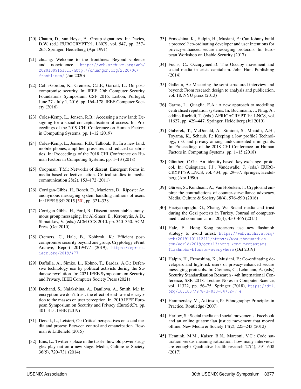- <span id="page-15-24"></span>[20] Chaum, D., van Heyst, E.: Group signatures. In: Davies, D.W. (ed.) EUROCRYPT'91. LNCS, vol. 547, pp. 257– 265. Springer, Heidelberg (Apr 1991)
- <span id="page-15-6"></span>[21] chuang: Welcome to the frontlines: Beyond violence and nonviolence. [https://web.archive.org/web/](https://web.archive.org/web/20201009153811/http://chuangcn.org/2020/06/frontlines/) [20201009153811/http://chuangcn.org/2020/06/](https://web.archive.org/web/20201009153811/http://chuangcn.org/2020/06/frontlines/) [frontlines/](https://web.archive.org/web/20201009153811/http://chuangcn.org/2020/06/frontlines/) (Jun 2020)
- <span id="page-15-18"></span>[22] Cohn-Gordon, K., Cremers, C.J.F., Garratt, L.: On postcompromise security. In: IEEE 29th Computer Security Foundations Symposium, CSF 2016, Lisbon, Portugal, June 27 - July 1, 2016. pp. 164–178. IEEE Computer Society (2016)
- <span id="page-15-0"></span>[23] Coles-Kemp, L., Jensen, R.B.: Accessing a new land: Designing for a social conceptualisation of access. In: Proceedings of the 2019 CHI Conference on Human Factors in Computing Systems. pp. 1–12 (2019)
- <span id="page-15-1"></span>[24] Coles-Kemp, L., Jensen, R.B., Talhouk, R.: In a new land: mobile phones, amplified pressures and reduced capabilities. In: Proceedings of the 2018 CHI Conference on Human Factors in Computing Systems. pp. 1–13 (2018)
- <span id="page-15-7"></span>[25] Coopman, T.M.: Networks of dissent: Emergent forms in media based collective action. Critical studies in media communication 28(2), 153–172 (2011)
- <span id="page-15-22"></span>[26] Corrigan-Gibbs, H., Boneh, D., Mazières, D.: Riposte: An anonymous messaging system handling millions of users. In: IEEE S&P 2015 [\[50\]](#page-16-27), pp. 321–338
- <span id="page-15-21"></span>[27] Corrigan-Gibbs, H., Ford, B.: Dissent: accountable anonymous group messaging. In: Al-Shaer, E., Keromytis, A.D., Shmatikov, V. (eds.) ACM CCS 2010. pp. 340–350. ACM Press (Oct 2010)
- <span id="page-15-19"></span>[28] Cremers, C., Hale, B., Kohbrok, K.: Efficient postcompromise security beyond one group. Cryptology ePrint Archive, Report 2019/477 (2019), [https://eprint.](https://eprint.iacr.org/2019/477) [iacr.org/2019/477](https://eprint.iacr.org/2019/477)
- <span id="page-15-2"></span>[29] Daffalla, A., Simko, L., Kohno, T., Bardas, A.G.: Defensive technology use by political activists during the Sudanese revolution. In: 2021 IEEE Symposium on Security and Privacy. IEEE Computer Society Press (2021)
- <span id="page-15-25"></span>[30] Dechand, S., Naiakshina, A., Danilova, A., Smith, M.: In encryption we don't trust: the effect of end-to-end encryption to the masses on user perception. In: 2019 IEEE European Symposium on Security and Privacy (EuroS&P). pp. 401–415. IEEE (2019)
- <span id="page-15-8"></span>[31] Dencik, L., Leistert, O.: Critical perspectives on social media and protest: Between control and emancipation. Rowman & Littlefield (2015)
- <span id="page-15-9"></span>[32] Ems, L.: Twitter's place in the tussle: how old power struggles play out on a new stage. Media, Culture & Society 36(5), 720–731 (2014)
- <span id="page-15-3"></span>[33] Ermoshina, K., Halpin, H., Musiani, F.: Can Johnny build a protocol? co-ordinating developer and user intentions for privacy-enhanced secure messaging protocols. In: European Workshop on Usable Security (2017)
- <span id="page-15-10"></span>[34] Fuchs, C.: Occupymedia!: The Occupy movement and social media in crisis capitalism. John Hunt Publishing (2014)
- <span id="page-15-15"></span>[35] Galletta, A.: Mastering the semi-structured interview and beyond: From research design to analysis and publication, vol. 18. NYU press (2013)
- <span id="page-15-23"></span>[36] Garms, L., Quaglia, E.A.: A new approach to modelling centralised reputation systems. In: Buchmann, J., Nitaj, A., eddine Rachidi, T. (eds.) AFRICACRYPT 19. LNCS, vol. 11627, pp. 429–447. Springer, Heidelberg (Jul 2019)
- <span id="page-15-4"></span>[37] Guberek, T., McDonald, A., Simioni, S., Mhaidli, A.H., Toyama, K., Schaub, F.: Keeping a low profile? Technology, risk and privacy among undocumented immigrants. In: Proceedings of the 2018 CHI Conference on Human Factors in Computing Systems. pp. 1–15 (2018)
- <span id="page-15-17"></span>[38] Günther, C.G.: An identity-based key-exchange protocol. In: Quisquater, J.J., Vandewalle, J. (eds.) EURO-CRYPT'89. LNCS, vol. 434, pp. 29–37. Springer, Heidelberg (Apr 1990)
- <span id="page-15-20"></span>[39] Gürses, S., Kundnani, A., Van Hoboken, J.: Crypto and empire: the contradictions of counter-surveillance advocacy. Media, Culture & Society 38(4), 576–590 (2016)
- <span id="page-15-12"></span>[40] Haciyakupoglu, G., Zhang, W.: Social media and trust during the Gezi protests in Turkey. Journal of computermediated communication 20(4), 450–466 (2015)
- <span id="page-15-13"></span>[41] Hale, E.: Hong Kong protesters use new flashmob strategy to avoid arrest. [https://web.archive.org/](https://web.archive.org/web/20191101112411/https://www.theguardian.com/world/2019/oct/13/hong-kong-protesters-flashmobs-blossom-everywhere) [web/20191101112411/https://www.theguardian.](https://web.archive.org/web/20191101112411/https://www.theguardian.com/world/2019/oct/13/hong-kong-protesters-flashmobs-blossom-everywhere) [com/world/2019/oct/13/hong-kong-protesters](https://web.archive.org/web/20191101112411/https://www.theguardian.com/world/2019/oct/13/hong-kong-protesters-flashmobs-blossom-everywhere)[flashmobs-blossom-everywhere](https://web.archive.org/web/20191101112411/https://www.theguardian.com/world/2019/oct/13/hong-kong-protesters-flashmobs-blossom-everywhere) (Oct 2019)
- <span id="page-15-5"></span>[42] Halpin, H., Ermoshina, K., Musiani, F.: Co-ordinating developers and high-risk users of privacy-enhanced secure messaging protocols. In: Cremers, C., Lehmann, A. (eds.) Security Standardisation Research - 4th International Conference, SSR 2018. Lecture Notes in Computer Science, vol. 11322, pp. 56–75. Springer (2018), [https://doi.](https://doi.org/10.1007/978-3-030-04762-7_4) [org/10.1007/978-3-030-04762-7\\_4](https://doi.org/10.1007/978-3-030-04762-7_4)
- <span id="page-15-16"></span>[43] Hammersley, M., Atkinson, P.: Ethnography: Principles in Practice. Routledge (2007)
- <span id="page-15-11"></span>[44] Harlow, S.: Social media and social movements: Facebook and an online guatemalan justice movement that moved offline. New Media & Society 14(2), 225–243 (2012)
- <span id="page-15-14"></span>[45] Hennink, M.M., Kaiser, B.N., Marconi, V.C.: Code saturation versus meaning saturation: how many interviews are enough? Qualitative health research 27(4), 591–608 (2017)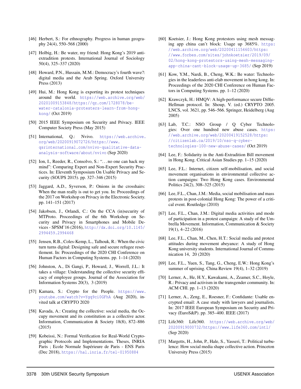- <span id="page-16-26"></span>[46] Herbert, S.: For ethnography. Progress in human geography 24(4), 550–568 (2000)
- <span id="page-16-13"></span>[47] Holbig, H.: Be water, my friend: Hong Kong's 2019 antiextradition protests. International Journal of Sociology 50(4), 325–337 (2020)
- <span id="page-16-6"></span>[48] Howard, P.N., Hussain, M.M.: Democracy's fourth wave?: digital media and the Arab Spring. Oxford University Press (2013)
- <span id="page-16-3"></span>[49] Hui, M.: Hong Kong is exporting its protest techniques around the world. [https://web.archive.org/web/](https://web.archive.org/web/20201009153848/https://qz.com/1728078/be-water-catalonia-protesters-learn-from-hong-kong/) [20201009153848/https://qz.com/1728078/be](https://web.archive.org/web/20201009153848/https://qz.com/1728078/be-water-catalonia-protesters-learn-from-hong-kong/)[water-catalonia-protesters-learn-from-hong](https://web.archive.org/web/20201009153848/https://qz.com/1728078/be-water-catalonia-protesters-learn-from-hong-kong/)[kong/](https://web.archive.org/web/20201009153848/https://qz.com/1728078/be-water-catalonia-protesters-learn-from-hong-kong/) (Oct 2019)
- <span id="page-16-27"></span>[50] 2015 IEEE Symposium on Security and Privacy. IEEE Computer Society Press (May 2015)
- <span id="page-16-18"></span>[51] International, Q.: Nvivo. [https://web.archive.](https://web.archive.org/web/20200919072726/https://www.qsrinternational.com/nvivo-qualitative-data-analysis-software/about/nvivo) [org/web/20200919072726/https://www.](https://web.archive.org/web/20200919072726/https://www.qsrinternational.com/nvivo-qualitative-data-analysis-software/about/nvivo) [qsrinternational.com/nvivo-qualitative-data](https://web.archive.org/web/20200919072726/https://www.qsrinternational.com/nvivo-qualitative-data-analysis-software/about/nvivo)[analysis-software/about/nvivo](https://web.archive.org/web/20200919072726/https://www.qsrinternational.com/nvivo-qualitative-data-analysis-software/about/nvivo) (Sep 2020)
- <span id="page-16-24"></span>[52] Ion, I., Reeder, R., Consolvo, S.: "... no one can hack my mind": Comparing Expert and Non-Expert Security Practices. In: Eleventh Symposium On Usable Privacy and Security (SOUPS 2015). pp. 327–346 (2015)
- <span id="page-16-23"></span>[53] Jaggard, A.D., Syverson, P.: Onions in the crosshairs: When the man really is out to get you. In: Proceedings of the 2017 on Workshop on Privacy in the Electronic Society. pp. 141–151 (2017)
- <span id="page-16-20"></span>[54] Jakobsen, J., Orlandi, C.: On the CCA (in)security of MTProto. Proceedings of the 6th Workshop on Security and Privacy in Smartphones and Mobile Devices - SPSM'16 (2016), [http://dx.doi.org/10.1145/](http://dx.doi.org/10.1145/2994459.2994468) [2994459.2994468](http://dx.doi.org/10.1145/2994459.2994468)
- <span id="page-16-16"></span>[55] Jensen, R.B., Coles-Kemp, L., Talhouk, R.: When the civic turn turns digital: Designing safe and secure refugee resettlement. In: Proceedings of the 2020 CHI Conference on Human Factors in Computing Systems. pp. 1–14 (2020)
- <span id="page-16-25"></span>[56] Johnston, A., Di Gangi, P., Howard, J., Worrell, J.L.: It takes a village: Understanding the collective security efficacy of employee groups. Journal of the Association for Information Systems 20(3), 3 (2019)
- <span id="page-16-14"></span>[57] Kamara, S.: Crypto for the People. [https://www.](https://www.youtube.com/watch?v=Ygq9ci0GFhA) [youtube.com/watch?v=Ygq9ci0GFhA](https://www.youtube.com/watch?v=Ygq9ci0GFhA) (Aug 2020), invited talk at CRYPTO 2020
- <span id="page-16-7"></span>[58] Kavada, A.: Creating the collective: social media, the Occupy movement and its constitution as a collective actor. Information, Communication & Society 18(8), 872–886 (2015)
- <span id="page-16-21"></span>[59] Kobeissi, N.: Formal Verification for Real-World Cryptographic Protocols and Implementations. Theses, INRIA Paris ; Ecole Normale Supérieure de Paris - ENS Paris (Dec 2018), <https://hal.inria.fr/tel-01950884>
- <span id="page-16-19"></span>[60] Koetsier, J.: Hong Kong protestors using mesh messaging app china can't block: Usage up 3685%. [https:](https://web.archive.org/web/20200411154603/https://www.forbes.com/sites/johnkoetsier/2019/09/02/hong-kong-protestors-using-mesh-messaging-app-china-cant-block-usage-up-3685/) [//web.archive.org/web/20200411154603/https:](https://web.archive.org/web/20200411154603/https://www.forbes.com/sites/johnkoetsier/2019/09/02/hong-kong-protestors-using-mesh-messaging-app-china-cant-block-usage-up-3685/) [//www.forbes.com/sites/johnkoetsier/2019/09/](https://web.archive.org/web/20200411154603/https://www.forbes.com/sites/johnkoetsier/2019/09/02/hong-kong-protestors-using-mesh-messaging-app-china-cant-block-usage-up-3685/) [02/hong-kong-protestors-using-mesh-messaging](https://web.archive.org/web/20200411154603/https://www.forbes.com/sites/johnkoetsier/2019/09/02/hong-kong-protestors-using-mesh-messaging-app-china-cant-block-usage-up-3685/)[app-china-cant-block-usage-up-3685/](https://web.archive.org/web/20200411154603/https://www.forbes.com/sites/johnkoetsier/2019/09/02/hong-kong-protestors-using-mesh-messaging-app-china-cant-block-usage-up-3685/) (Sep 2019)
- <span id="page-16-0"></span>[61] Kow, Y.M., Nardi, B., Cheng, W.K.: Be water: Technologies in the leaderless anti-elab movement in hong kong. In: Proceedings of the 2020 CHI Conference on Human Factors in Computing Systems. pp. 1–12 (2020)
- <span id="page-16-22"></span>[62] Krawczyk, H.: HMQV: A high-performance secure Diffie-Hellman protocol. In: Shoup, V. (ed.) CRYPTO 2005. LNCS, vol. 3621, pp. 546–566. Springer, Heidelberg (Aug 2005)
- <span id="page-16-10"></span>[63] Lab, T.C.: NSO Group / Q Cyber Technologies: Over one hundred new abuse cases. [https:](https://web.archive.org/web/20200419152528/https://citizenlab.ca/2019/10/nso-q-cyber-technologies-100-new-abuse-cases/) [//web.archive.org/web/20200419152528/https:](https://web.archive.org/web/20200419152528/https://citizenlab.ca/2019/10/nso-q-cyber-technologies-100-new-abuse-cases/) [//citizenlab.ca/2019/10/nso-q-cyber](https://web.archive.org/web/20200419152528/https://citizenlab.ca/2019/10/nso-q-cyber-technologies-100-new-abuse-cases/)[technologies-100-new-abuse-cases/](https://web.archive.org/web/20200419152528/https://citizenlab.ca/2019/10/nso-q-cyber-technologies-100-new-abuse-cases/) (Oct 2019)
- <span id="page-16-11"></span>[64] Lee, F.: Solidarity in the Anti-Extradition Bill movement in Hong Kong. Critical Asian Studies pp. 1–15 (2020)
- <span id="page-16-9"></span>[65] Lee, F.L.: Internet, citizen self-mobilisation, and social movement organisations in environmental collective action campaigns: Two Hong Kong cases. Environmental Politics 24(2), 308–325 (2015)
- <span id="page-16-4"></span>[66] Lee, F.L., Chan, J.M.: Media, social mobilisation and mass protests in post-colonial Hong Kong: The power of a critical event. Routledge (2010)
- <span id="page-16-8"></span>[67] Lee, F.L., Chan, J.M.: Digital media activities and mode of participation in a protest campaign: A study of the Umbrella Movement. Information, Communication & Society 19(1), 4–22 (2016)
- <span id="page-16-1"></span>[68] Lee, F.L., Chan, M., Chen, H.T.: Social media and protest attitudes during movement abeyance: A study of Hong Kong university students. International Journal of Communication 14, 20 (2020)
- <span id="page-16-12"></span>[69] Lee, F.L., Yuen, S., Tang, G., Cheng, E.W.: Hong Kong's summer of uprising. China Review 19(4), 1–32 (2019)
- <span id="page-16-2"></span>[70] Lerner, A., He, H.Y., Kawakami, A., Zeamer, S.C., Hoyle, R.: Privacy and activism in the transgender community. In: ACM CHI. pp. 1–13 (2020)
- <span id="page-16-15"></span>[71] Lerner, A., Zeng, E., Roesner, F.: Confidante: Usable encrypted email: A case study with lawyers and journalists. In: 2017 IEEE European Symposium on Security and Privacy (EuroS&P). pp. 385–400. IEEE (2017)
- <span id="page-16-17"></span>[72] Life360: Life360. [https://web.archive.org/web/](https://web.archive.org/web/20200919000732/https://www.life360.com/intl/) [20200919000732/https://www.life360.com/intl/](https://web.archive.org/web/20200919000732/https://www.life360.com/intl/) (Sep 2020)
- <span id="page-16-5"></span>[73] Margetts, H., John, P., Hale, S., Yasseri, T.: Political turbulence: How social media shape collective action. Princeton University Press (2015)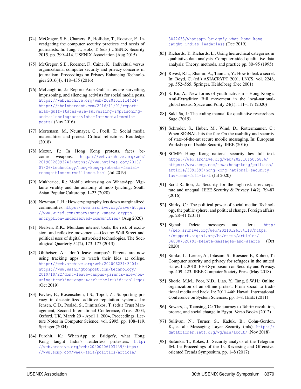- <span id="page-17-2"></span>[74] McGregor, S.E., Charters, P., Holliday, T., Roesner, F.: Investigating the computer security practices and needs of journalists. In: Jung, J., Holz, T. (eds.) USENIX Security 2015. pp. 399–414. USENIX Association (Aug 2015)
- <span id="page-17-3"></span>[75] McGregor, S.E., Roesner, F., Caine, K.: Individual versus organizational computer security and privacy concerns in journalism. Proceedings on Privacy Enhancing Technologies 2016(4), 418–435 (2016)
- <span id="page-17-11"></span>[76] McLaughlin, J.: Report: Arab Gulf states are surveiling, imprisoning, and silencing activists for social media posts. [https://web.archive.org/web/20201015114424/](https://web.archive.org/web/20201015114424/https://theintercept.com/2016/11/01/report-arab-gulf-states-are-surveiling-imprisoning-and-silencing-activists-for-social-media-posts/) [https://theintercept.com/2016/11/01/report](https://web.archive.org/web/20201015114424/https://theintercept.com/2016/11/01/report-arab-gulf-states-are-surveiling-imprisoning-and-silencing-activists-for-social-media-posts/)[arab-gulf-states-are-surveiling-imprisoning](https://web.archive.org/web/20201015114424/https://theintercept.com/2016/11/01/report-arab-gulf-states-are-surveiling-imprisoning-and-silencing-activists-for-social-media-posts/)[and-silencing-activists-for-social-media](https://web.archive.org/web/20201015114424/https://theintercept.com/2016/11/01/report-arab-gulf-states-are-surveiling-imprisoning-and-silencing-activists-for-social-media-posts/)[posts/](https://web.archive.org/web/20201015114424/https://theintercept.com/2016/11/01/report-arab-gulf-states-are-surveiling-imprisoning-and-silencing-activists-for-social-media-posts/) (Nov 2016)
- <span id="page-17-6"></span>[77] Mortensen, M., Neumayer, C., Poell, T.: Social media materialities and protest: Critical reflections. Routledge (2018)
- <span id="page-17-0"></span>[78] Mozur, P.: In Hong Kong protests, faces become weapons. [https://web.archive.org/web/](https://web.archive.org/web/20190726093243/https://www.nytimes.com/2019/07/26/technology/hong-kong-protests-facial-recognition-surveillance.html) [20190726093243/https://www.nytimes.com/2019/](https://web.archive.org/web/20190726093243/https://www.nytimes.com/2019/07/26/technology/hong-kong-protests-facial-recognition-surveillance.html) [07/26/technology/hong-kong-protests-facial](https://web.archive.org/web/20190726093243/https://www.nytimes.com/2019/07/26/technology/hong-kong-protests-facial-recognition-surveillance.html)[recognition-surveillance.html](https://web.archive.org/web/20190726093243/https://www.nytimes.com/2019/07/26/technology/hong-kong-protests-facial-recognition-surveillance.html) (Jul 2019)
- <span id="page-17-10"></span>[79] Mukherjee, R.: Mobile witnessing on WhatsApp: Vigilante virality and the anatomy of mob lynching. South Asian Popular Culture pp. 1–23 (2020)
- <span id="page-17-13"></span>[80] Newman, L.H.: How cryptography lets down marginalized communities. [https://web.archive.org/save/https:](https://web.archive.org/save/https://www.wired.com/story/seny-kamara-crypto-encryption-underserved-communities/) [//www.wired.com/story/seny-kamara-crypto](https://web.archive.org/save/https://www.wired.com/story/seny-kamara-crypto-encryption-underserved-communities/)[encryption-underserved-communities/](https://web.archive.org/save/https://www.wired.com/story/seny-kamara-crypto-encryption-underserved-communities/) (Aug 2020)
- <span id="page-17-8"></span>[81] Nielsen, R.K.: Mundane internet tools, the risk of exclusion, and reflexive movements—Occupy Wall Street and political uses of digital networked technologies. The Sociological Quarterly 54(2), 173–177 (2013)
- <span id="page-17-15"></span>[82] Ohlheiser, A.: 'don't leave campus': Parents are now using tracking apps to watch their kids at college. [https://web.archive.org/web/20200623143004/](https://web.archive.org/web/20200623143004/https://www.washingtonpost.com/technology/2019/10/22/dont-leave-campus-parents-are-now-using-tracking-apps-watch-their-kids-college/) [https://www.washingtonpost.com/technology/](https://web.archive.org/web/20200623143004/https://www.washingtonpost.com/technology/2019/10/22/dont-leave-campus-parents-are-now-using-tracking-apps-watch-their-kids-college/) [2019/10/22/dont-leave-campus-parents-are-now](https://web.archive.org/web/20200623143004/https://www.washingtonpost.com/technology/2019/10/22/dont-leave-campus-parents-are-now-using-tracking-apps-watch-their-kids-college/)[using-tracking-apps-watch-their-kids-college/](https://web.archive.org/web/20200623143004/https://www.washingtonpost.com/technology/2019/10/22/dont-leave-campus-parents-are-now-using-tracking-apps-watch-their-kids-college/) (Oct 2019)
- <span id="page-17-22"></span>[83] Pavlov, E., Rosenschein, J.S., Topol, Z.: Supporting privacy in decentralized additive reputation systems. In: Jensen, C.D., Poslad, S., Dimitrakos, T. (eds.) Trust Management, Second International Conference, iTrust 2004, Oxford, UK, March 29 - April 1, 2004, Proceedings. Lecture Notes in Computer Science, vol. 2995, pp. 108–119. Springer (2004)
- <span id="page-17-5"></span>[84] Purohit, K.: WhatsApp to Bridgefy, what Hong Kong taught India's leaderless protesters. [http:](http://web.archive.org/web/20200406103939/https://www.scmp.com/week-asia/politics/article/3042633/whatsapp-bridgefy-what-hong-kong-taught-indias-leaderless) [//web.archive.org/web/20200406103939/https:](http://web.archive.org/web/20200406103939/https://www.scmp.com/week-asia/politics/article/3042633/whatsapp-bridgefy-what-hong-kong-taught-indias-leaderless) [//www.scmp.com/week-asia/politics/article/](http://web.archive.org/web/20200406103939/https://www.scmp.com/week-asia/politics/article/3042633/whatsapp-bridgefy-what-hong-kong-taught-indias-leaderless)

[3042633/whatsapp-bridgefy-what-hong-kong](http://web.archive.org/web/20200406103939/https://www.scmp.com/week-asia/politics/article/3042633/whatsapp-bridgefy-what-hong-kong-taught-indias-leaderless)[taught-indias-leaderless](http://web.archive.org/web/20200406103939/https://www.scmp.com/week-asia/politics/article/3042633/whatsapp-bridgefy-what-hong-kong-taught-indias-leaderless) (Dec 2019)

- <span id="page-17-19"></span>[85] Richards, T., Richards, L.: Using hierarchical categories in qualitative data analysis. Computer-aided qualitative data analysis: Theory, methods, and practice pp. 80–95 (1995)
- <span id="page-17-23"></span>[86] Rivest, R.L., Shamir, A., Tauman, Y.: How to leak a secret. In: Boyd, C. (ed.) ASIACRYPT 2001. LNCS, vol. 2248, pp. 552–565. Springer, Heidelberg (Dec 2001)
- <span id="page-17-1"></span>[87] S. Ku, A.: New forms of youth activism – Hong Kong's Anti-Extradition Bill movement in the local-nationalglobal nexus. Space and Polity 24(1), 111–117 (2020)
- <span id="page-17-18"></span>[88] Saldaña, J.: The coding manual for qualitative researchers. Sage (2015)
- <span id="page-17-24"></span>[89] Schröder, S., Huber, M., Wind, D., Rottermanner, C.: When SIGNAL hits the fan: On the usability and security of state-of-the-art secure mobile messaging. In: European Workshop on Usable Security. IEEE (2016)
- <span id="page-17-17"></span>[90] SCMP: Hong Kong national security law full text. [https://web.archive.org/web/20201015085806/](https://web.archive.org/web/20201015085806/https://www.scmp.com/news/hong-kong/politics/article/3091595/hong-kong-national-security-law-read-full-text) [https://www.scmp.com/news/hong-kong/politics/](https://web.archive.org/web/20201015085806/https://www.scmp.com/news/hong-kong/politics/article/3091595/hong-kong-national-security-law-read-full-text) [article/3091595/hong-kong-national-security](https://web.archive.org/web/20201015085806/https://www.scmp.com/news/hong-kong/politics/article/3091595/hong-kong-national-security-law-read-full-text)[law-read-full-text](https://web.archive.org/web/20201015085806/https://www.scmp.com/news/hong-kong/politics/article/3091595/hong-kong-national-security-law-read-full-text) (Jul 2020)
- <span id="page-17-14"></span>[91] Scott-Railton, J.: Security for the high-risk user: separate and unequal. IEEE Security & Privacy 14(2), 79–87 (2016)
- <span id="page-17-7"></span>[92] Shirky, C.: The political power of social media: Technology, the public sphere, and political change. Foreign affairs pp. 28–41 (2011)
- <span id="page-17-16"></span>[93] Signal: Delete messages and alerts. [http:](http://web.archive.org/web/20210126184118/https://support.signal.org/hc/en-us/articles/360007320491-Delete-messages-and-alerts) [//web.archive.org/web/20210126184118/https:](http://web.archive.org/web/20210126184118/https://support.signal.org/hc/en-us/articles/360007320491-Delete-messages-and-alerts) [//support.signal.org/hc/en-us/articles/](http://web.archive.org/web/20210126184118/https://support.signal.org/hc/en-us/articles/360007320491-Delete-messages-and-alerts) [360007320491-Delete-messages-and-alerts](http://web.archive.org/web/20210126184118/https://support.signal.org/hc/en-us/articles/360007320491-Delete-messages-and-alerts) (Oct 2020)
- <span id="page-17-4"></span>[94] Simko, L., Lerner, A., Ibtasam, S., Roesner, F., Kohno, T.: Computer security and privacy for refugees in the united states. In: 2018 IEEE Symposium on Security and Privacy. pp. 409–423. IEEE Computer Society Press (May 2018)
- <span id="page-17-9"></span>[95] Skoric, M.M., Poor, N.D., Liao, Y., Tang, S.W.H.: Online organization of an offline protest: From social to traditional media and back. In: 2011 44th Hawaii International Conference on System Sciences. pp. 1–8. IEEE (2011)
- <span id="page-17-12"></span>[96] Sowers, J., Toensing, C.: The journey to Tahrir: revolution, protest, and social change in Egypt. Verso Books (2012)
- <span id="page-17-21"></span>[97] Sullivan, N., Turner, S., Kaduk, B., Cohn-Gordon, K., et al.: Messaging Layer Security (mls). [https://](https://datatracker.ietf.org/wg/mls/about/) [datatracker.ietf.org/wg/mls/about/](https://datatracker.ietf.org/wg/mls/about/) (Nov 2018)
- <span id="page-17-20"></span>[98] Sušánka, T., Kokeš, J.: Security analysis of the Telegram IM. In: Proceedings of the 1st Reversing and Offensiveoriented Trends Symposium. pp. 1–8 (2017)